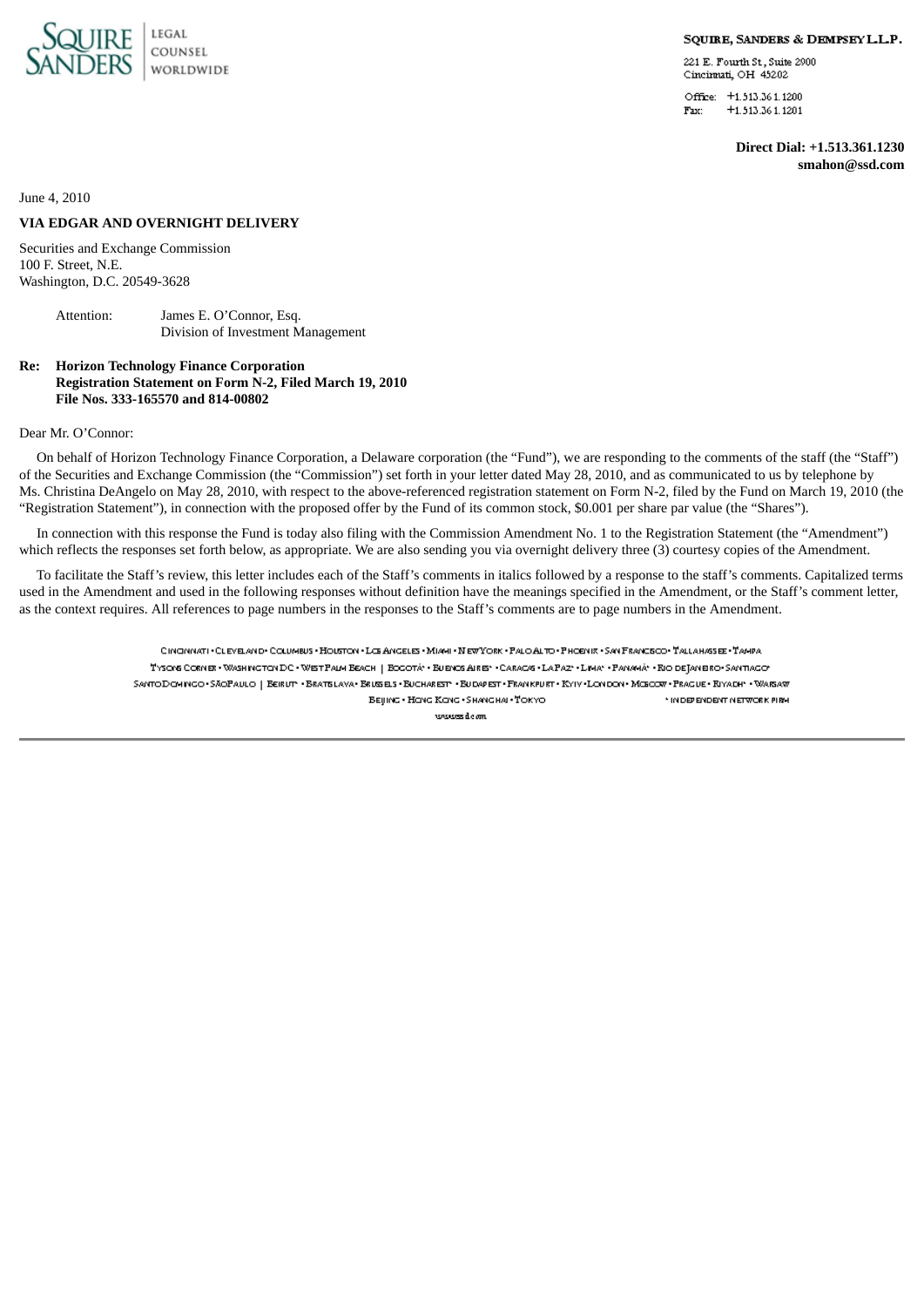

#### SQUIRE, SANDERS & DEMPSEY L.L.P.

221 E. Fourth St, Suite 2900 Cincinnati OH 45202

Office: +1.513.361.1200  $+1.513.361.1201$ Fax:

> **Direct Dial: +1.513.361.1230 smahon@ssd.com**

June 4, 2010

# **VIA EDGAR AND OVERNIGHT DELIVERY**

Securities and Exchange Commission 100 F. Street, N.E. Washington, D.C. 20549-3628

> Attention: James E. O'Connor, Esq. Division of Investment Management

# **Re: Horizon Technology Finance Corporation Registration Statement on Form N-2, Filed March 19, 2010 File Nos. 333-165570 and 814-00802**

# Dear Mr. O'Connor:

On behalf of Horizon Technology Finance Corporation, a Delaware corporation (the "Fund"), we are responding to the comments of the staff (the "Staff") of the Securities and Exchange Commission (the "Commission") set forth in your letter dated May 28, 2010, and as communicated to us by telephone by Ms. Christina DeAngelo on May 28, 2010, with respect to the above-referenced registration statement on Form N-2, filed by the Fund on March 19, 2010 (the "Registration Statement"), in connection with the proposed offer by the Fund of its common stock, \$0.001 per share par value (the "Shares").

In connection with this response the Fund is today also filing with the Commission Amendment No. 1 to the Registration Statement (the "Amendment") which reflects the responses set forth below, as appropriate. We are also sending you via overnight delivery three (3) courtesy copies of the Amendment.

To facilitate the Staff's review, this letter includes each of the Staff's comments in italics followed by a response to the staff's comments. Capitalized terms used in the Amendment and used in the following responses without definition have the meanings specified in the Amendment, or the Staff's comment letter, as the context requires. All references to page numbers in the responses to the Staff's comments are to page numbers in the Amendment.

> CINONNATI - CLEVELAND - COLUMBUS - HOUSTON - LOS ANGELES - MUAHI - NEW YORK - PALO ALTO - PHOENIX - SAN FRANCECO - TALLAHASSEE - TAMPA TYSONS CORNER · WASHINGTON DC · WEST PAILY ERACH | EOGOTA · BUENOS AIRES · CARACAS · LA PAZ · · LIMA · PANAMA · RIO DETANEIRO · SANTIAGO SANTODOHINGO+SÄOPAULO | BEIRUTH-BRATSLAVA+BRUSELSHBUCHARESTH-BUDAPESTHFRANKPURTHRYNYHLONDON+MOSOORHPRAGUE+RIYADHHHVMARAW BEIJING . HONG KONG . SHANGHAI . TOKYO \* IN DEPENDENT NETWORK PIRM renewes die om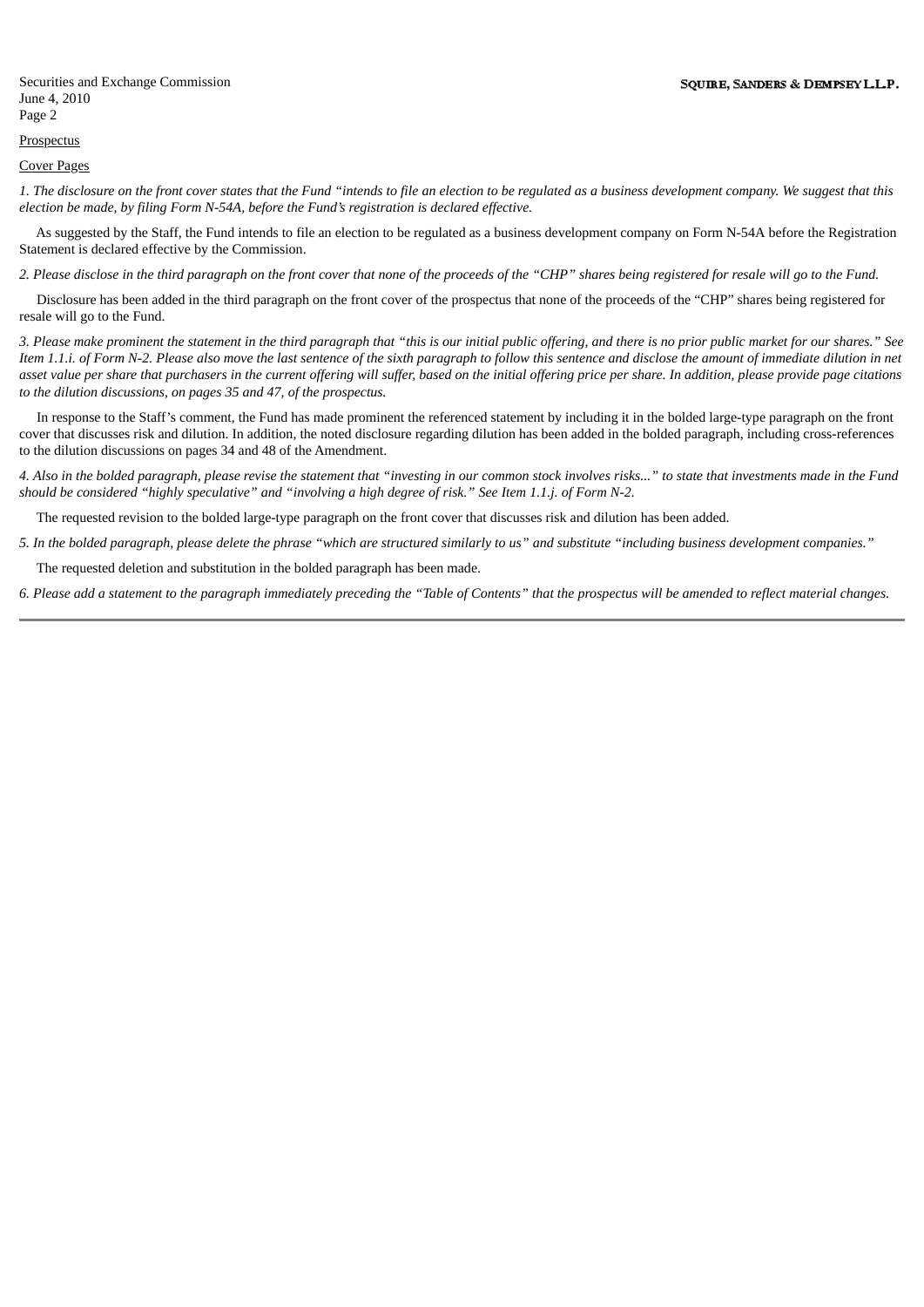# **Prospectus**

## Cover Pages

1. The disclosure on the front cover states that the Fund "intends to file an election to be regulated as a business development company. We suggest that this *election be made, by filing Form N-54A, before the Fund's registration is declared effective.*

As suggested by the Staff, the Fund intends to file an election to be regulated as a business development company on Form N-54A before the Registration Statement is declared effective by the Commission.

2. Please disclose in the third paragraph on the front cover that none of the proceeds of the "CHP" shares being registered for resale will go to the Fund.

Disclosure has been added in the third paragraph on the front cover of the prospectus that none of the proceeds of the "CHP" shares being registered for resale will go to the Fund.

3. Please make prominent the statement in the third paragraph that "this is our initial public offering, and there is no prior public market for our shares." See Item 1.1.i. of Form N-2. Please also move the last sentence of the sixth paragraph to follow this sentence and disclose the amount of immediate dilution in net asset value per share that purchasers in the current offering will suffer, based on the initial offering price per share. In addition, please provide page citations *to the dilution discussions, on pages 35 and 47, of the prospectus.*

In response to the Staff's comment, the Fund has made prominent the referenced statement by including it in the bolded large-type paragraph on the front cover that discusses risk and dilution. In addition, the noted disclosure regarding dilution has been added in the bolded paragraph, including cross-references to the dilution discussions on pages 34 and 48 of the Amendment.

4. Also in the bolded paragraph, please revise the statement that "investing in our common stock involves risks..." to state that investments made in the Fund should be considered "highly speculative" and "involving a high degree of risk," See Item 1.1.i. of Form N-2.

The requested revision to the bolded large-type paragraph on the front cover that discusses risk and dilution has been added.

5. In the bolded paragraph, please delete the phrase "which are structured similarly to us" and substitute "including business development companies."

The requested deletion and substitution in the bolded paragraph has been made.

6. Please add a statement to the paragraph immediately preceding the "Table of Contents" that the prospectus will be amended to reflect material changes.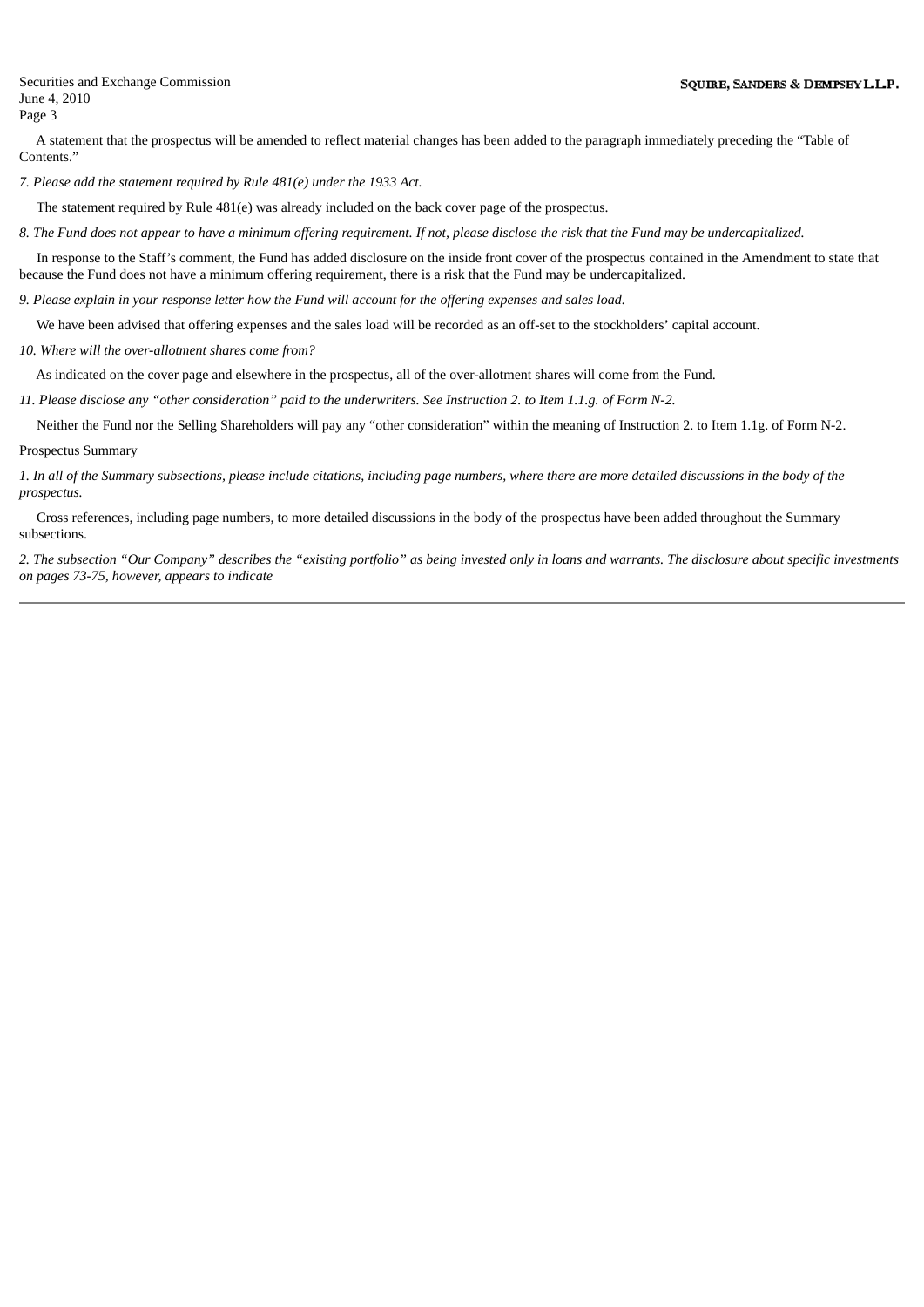A statement that the prospectus will be amended to reflect material changes has been added to the paragraph immediately preceding the "Table of Contents."

*7. Please add the statement required by Rule 481(e) under the 1933 Act.*

The statement required by Rule 481(e) was already included on the back cover page of the prospectus.

8. The Fund does not appear to have a minimum offering requirement. If not, please disclose the risk that the Fund may be undercapitalized.

In response to the Staff's comment, the Fund has added disclosure on the inside front cover of the prospectus contained in the Amendment to state that because the Fund does not have a minimum offering requirement, there is a risk that the Fund may be undercapitalized.

9. Please explain in your response letter how the Fund will account for the offering expenses and sales load.

We have been advised that offering expenses and the sales load will be recorded as an off-set to the stockholders' capital account.

*10. Where will the over-allotment shares come from?*

As indicated on the cover page and elsewhere in the prospectus, all of the over-allotment shares will come from the Fund.

11. Please disclose any "other consideration" paid to the underwriters. See Instruction 2. to Item 1.1.g. of Form N-2.

Neither the Fund nor the Selling Shareholders will pay any "other consideration" within the meaning of Instruction 2. to Item 1.1g. of Form N-2.

#### Prospectus Summary

1. In all of the Summary subsections, please include citations, including page numbers, where there are more detailed discussions in the body of the *prospectus.*

Cross references, including page numbers, to more detailed discussions in the body of the prospectus have been added throughout the Summary subsections.

2. The subsection "Our Company" describes the "existing portfolio" as being invested only in loans and warrants. The disclosure about specific investments *on pages 73-75, however, appears to indicate*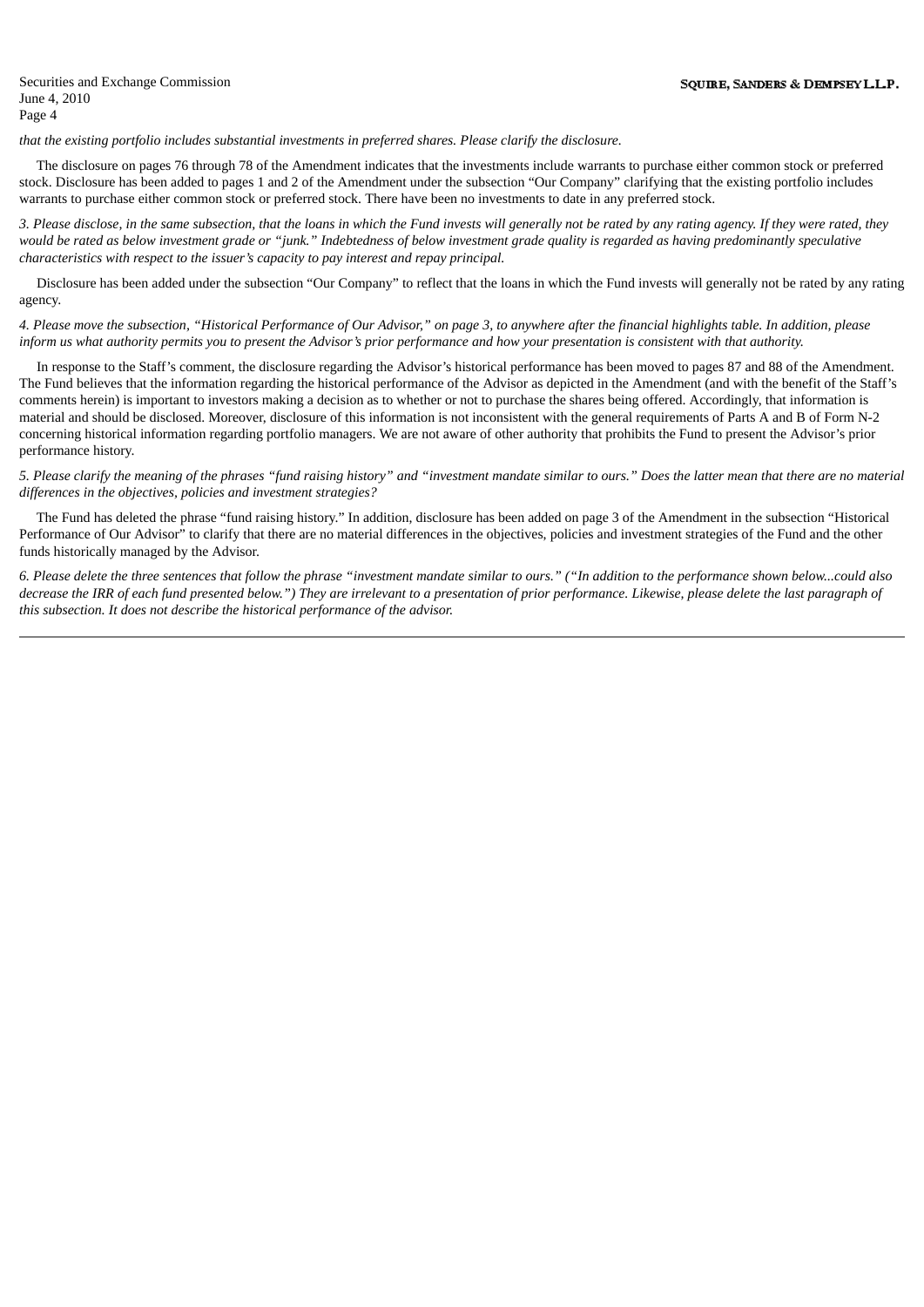*that the existing portfolio includes substantial investments in preferred shares. Please clarify the disclosure.*

The disclosure on pages 76 through 78 of the Amendment indicates that the investments include warrants to purchase either common stock or preferred stock. Disclosure has been added to pages 1 and 2 of the Amendment under the subsection "Our Company" clarifying that the existing portfolio includes warrants to purchase either common stock or preferred stock. There have been no investments to date in any preferred stock.

3. Please disclose, in the same subsection, that the loans in which the Fund invests will generally not be rated by any rating agency. If they were rated, they would be rated as below investment grade or "junk." Indebtedness of below investment grade quality is regarded as having predominantly speculative *characteristics with respect to the issuer's capacity to pay interest and repay principal.*

Disclosure has been added under the subsection "Our Company" to reflect that the loans in which the Fund invests will generally not be rated by any rating agency.

4. Please move the subsection, "Historical Performance of Our Advisor," on page 3, to anywhere after the financial highlights table. In addition, please inform us what authority permits you to present the Advisor's prior performance and how your presentation is consistent with that authority.

In response to the Staff's comment, the disclosure regarding the Advisor's historical performance has been moved to pages 87 and 88 of the Amendment. The Fund believes that the information regarding the historical performance of the Advisor as depicted in the Amendment (and with the benefit of the Staff's comments herein) is important to investors making a decision as to whether or not to purchase the shares being offered. Accordingly, that information is material and should be disclosed. Moreover, disclosure of this information is not inconsistent with the general requirements of Parts A and B of Form N-2 concerning historical information regarding portfolio managers. We are not aware of other authority that prohibits the Fund to present the Advisor's prior performance history.

5. Please clarify the meaning of the phrases "fund raising history" and "investment mandate similar to ours." Does the latter mean that there are no material *differences in the objectives, policies and investment strategies?*

The Fund has deleted the phrase "fund raising history." In addition, disclosure has been added on page 3 of the Amendment in the subsection "Historical Performance of Our Advisor" to clarify that there are no material differences in the objectives, policies and investment strategies of the Fund and the other funds historically managed by the Advisor.

6. Please delete the three sentences that follow the phrase "investment mandate similar to ours." ("In addition to the performance shown below...could also decrease the IRR of each fund presented below.") They are irrelevant to a presentation of prior performance. Likewise, please delete the last paragraph of *this subsection. It does not describe the historical performance of the advisor.*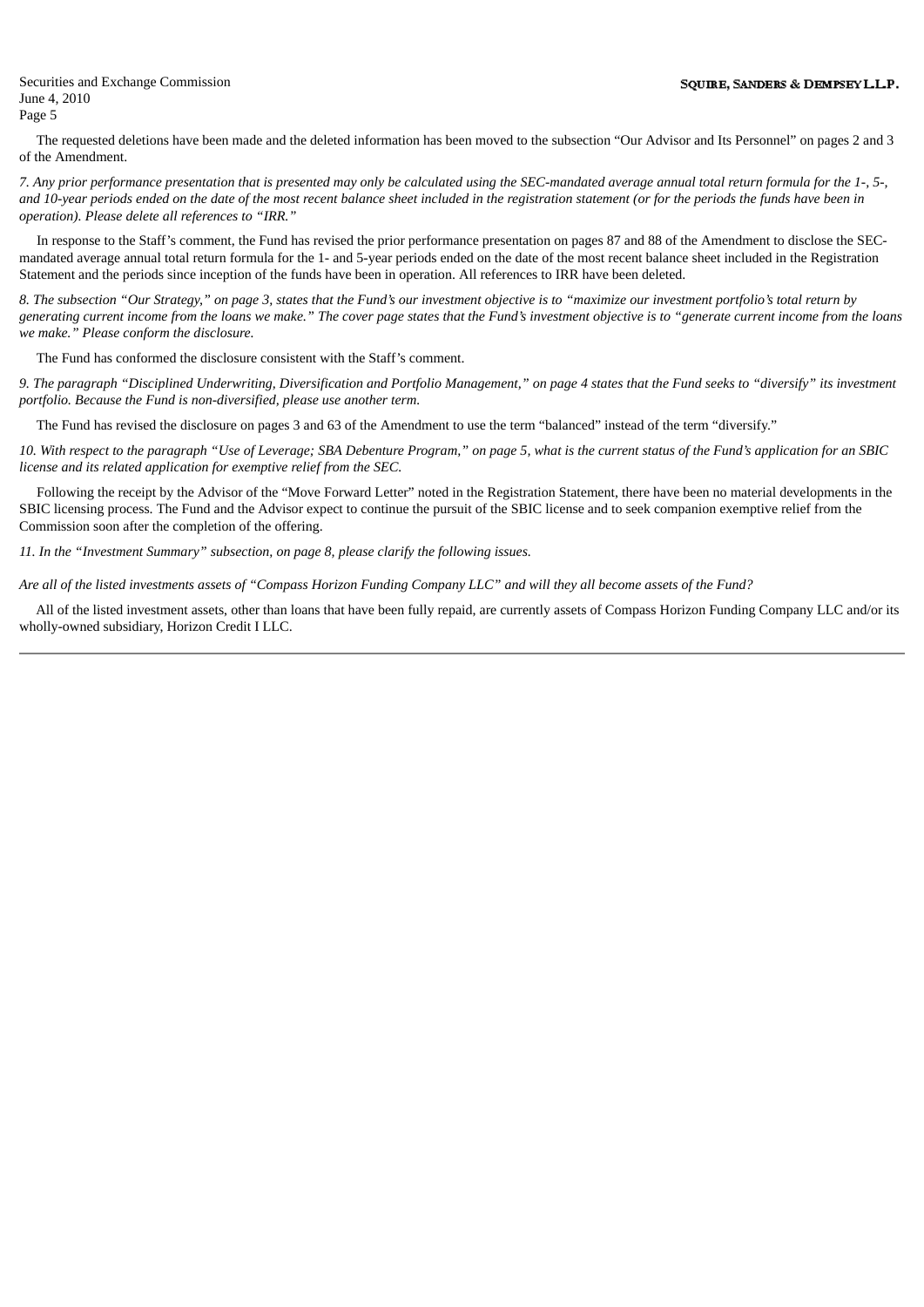The requested deletions have been made and the deleted information has been moved to the subsection "Our Advisor and Its Personnel" on pages 2 and 3 of the Amendment.

7. Any prior performance presentation that is presented may only be calculated using the SEC-mandated average annual total return formula for the 1-, 5-, and 10-year periods ended on the date of the most recent balance sheet included in the registration statement (or for the periods the funds have been in *operation). Please delete all references to "IRR."*

In response to the Staff's comment, the Fund has revised the prior performance presentation on pages 87 and 88 of the Amendment to disclose the SECmandated average annual total return formula for the 1- and 5-year periods ended on the date of the most recent balance sheet included in the Registration Statement and the periods since inception of the funds have been in operation. All references to IRR have been deleted.

8. The subsection "Our Strategy," on page 3, states that the Fund's our investment objective is to "maximize our investment portfolio's total return by generating current income from the loans we make." The cover page states that the Fund's investment objective is to "generate current income from the loans *we make." Please conform the disclosure.*

The Fund has conformed the disclosure consistent with the Staff's comment.

9. The paragraph "Disciplined Underwriting, Diversification and Portfolio Management," on page 4 states that the Fund seeks to "diversify" its investment *portfolio. Because the Fund is non-diversified, please use another term.*

The Fund has revised the disclosure on pages 3 and 63 of the Amendment to use the term "balanced" instead of the term "diversify."

10. With respect to the paragraph "Use of Leverage; SBA Debenture Program," on page 5, what is the current status of the Fund's application for an SBIC *license and its related application for exemptive relief from the SEC.*

Following the receipt by the Advisor of the "Move Forward Letter" noted in the Registration Statement, there have been no material developments in the SBIC licensing process. The Fund and the Advisor expect to continue the pursuit of the SBIC license and to seek companion exemptive relief from the Commission soon after the completion of the offering.

*11. In the "Investment Summary" subsection, on page 8, please clarify the following issues.*

Are all of the listed investments assets of "Compass Horizon Funding Company LLC" and will they all become assets of the Fund?

All of the listed investment assets, other than loans that have been fully repaid, are currently assets of Compass Horizon Funding Company LLC and/or its wholly-owned subsidiary, Horizon Credit I LLC.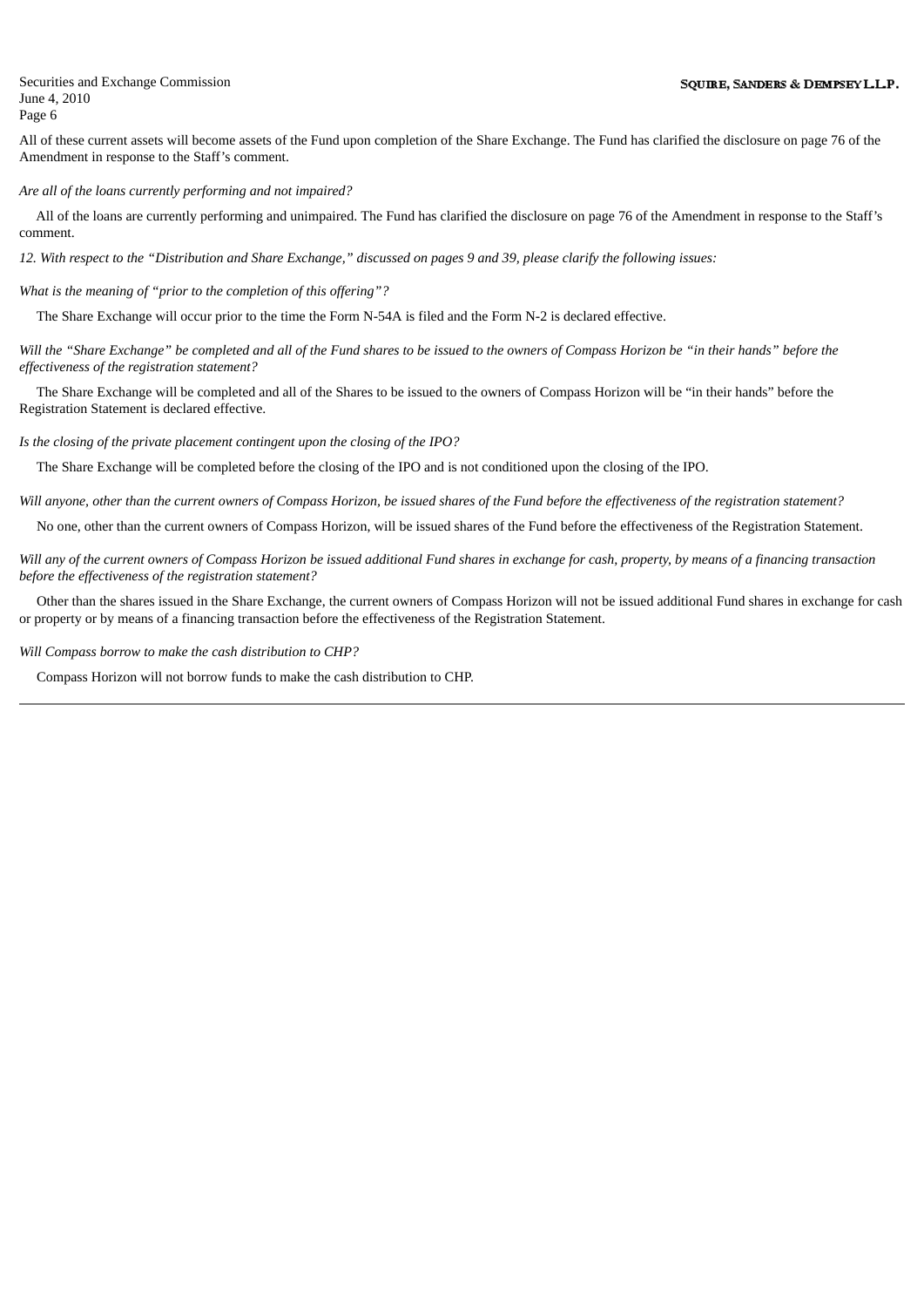All of these current assets will become assets of the Fund upon completion of the Share Exchange. The Fund has clarified the disclosure on page 76 of the Amendment in response to the Staff's comment.

*Are all of the loans currently performing and not impaired?*

All of the loans are currently performing and unimpaired. The Fund has clarified the disclosure on page 76 of the Amendment in response to the Staff's comment.

12. With respect to the "Distribution and Share Exchange," discussed on pages 9 and 39, please clarify the following issues:

*What is the meaning of "prior to the completion of this offering"?*

The Share Exchange will occur prior to the time the Form N-54A is filed and the Form N-2 is declared effective.

Will the "Share Exchange" be completed and all of the Fund shares to be issued to the owners of Compass Horizon be "in their hands" before the *effectiveness of the registration statement?*

The Share Exchange will be completed and all of the Shares to be issued to the owners of Compass Horizon will be "in their hands" before the Registration Statement is declared effective.

*Is the closing of the private placement contingent upon the closing of the IPO?*

The Share Exchange will be completed before the closing of the IPO and is not conditioned upon the closing of the IPO.

Will anyone, other than the current owners of Compass Horizon, be issued shares of the Fund before the effectiveness of the registration statement?

No one, other than the current owners of Compass Horizon, will be issued shares of the Fund before the effectiveness of the Registration Statement.

Will any of the current owners of Compass Horizon be issued additional Fund shares in exchange for cash, property, by means of a financing transaction *before the effectiveness of the registration statement?*

Other than the shares issued in the Share Exchange, the current owners of Compass Horizon will not be issued additional Fund shares in exchange for cash or property or by means of a financing transaction before the effectiveness of the Registration Statement.

*Will Compass borrow to make the cash distribution to CHP?*

Compass Horizon will not borrow funds to make the cash distribution to CHP.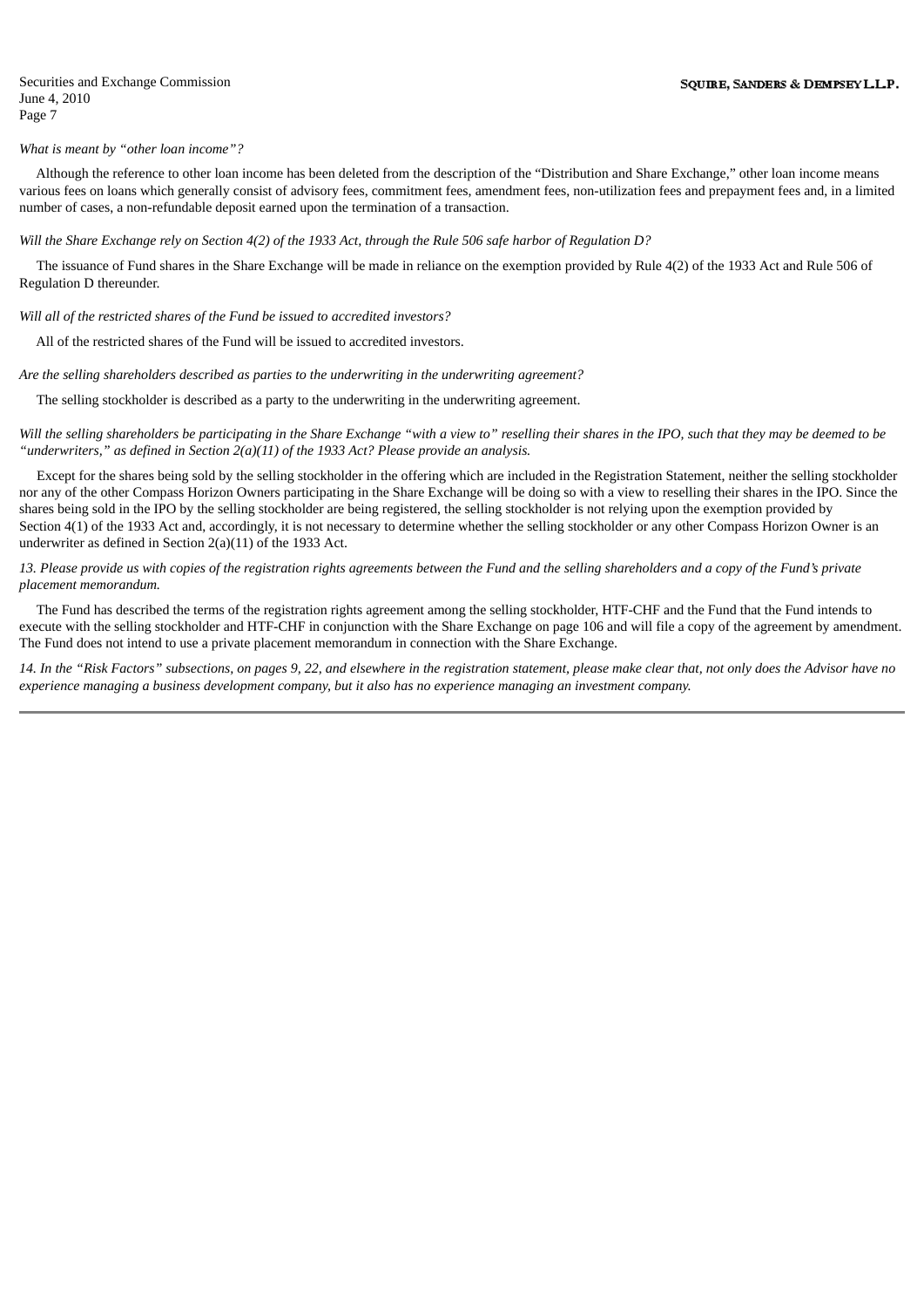#### *What is meant by "other loan income"?*

Although the reference to other loan income has been deleted from the description of the "Distribution and Share Exchange," other loan income means various fees on loans which generally consist of advisory fees, commitment fees, amendment fees, non-utilization fees and prepayment fees and, in a limited number of cases, a non-refundable deposit earned upon the termination of a transaction.

Will the Share Exchange rely on Section 4(2) of the 1933 Act, through the Rule 506 safe harbor of Regulation D?

The issuance of Fund shares in the Share Exchange will be made in reliance on the exemption provided by Rule 4(2) of the 1933 Act and Rule 506 of Regulation D thereunder.

#### *Will all of the restricted shares of the Fund be issued to accredited investors?*

All of the restricted shares of the Fund will be issued to accredited investors.

*Are the selling shareholders described as parties to the underwriting in the underwriting agreement?*

The selling stockholder is described as a party to the underwriting in the underwriting agreement.

Will the selling shareholders be participating in the Share Exchange "with a view to" reselling their shares in the IPO, such that they may be deemed to be *"underwriters," as defined in Section 2(a)(11) of the 1933 Act? Please provide an analysis.*

Except for the shares being sold by the selling stockholder in the offering which are included in the Registration Statement, neither the selling stockholder nor any of the other Compass Horizon Owners participating in the Share Exchange will be doing so with a view to reselling their shares in the IPO. Since the shares being sold in the IPO by the selling stockholder are being registered, the selling stockholder is not relying upon the exemption provided by Section 4(1) of the 1933 Act and, accordingly, it is not necessary to determine whether the selling stockholder or any other Compass Horizon Owner is an underwriter as defined in Section 2(a)(11) of the 1933 Act.

13. Please provide us with copies of the registration rights agreements between the Fund and the selling shareholders and a copy of the Fund's private *placement memorandum.*

The Fund has described the terms of the registration rights agreement among the selling stockholder, HTF-CHF and the Fund that the Fund intends to execute with the selling stockholder and HTF-CHF in conjunction with the Share Exchange on page 106 and will file a copy of the agreement by amendment. The Fund does not intend to use a private placement memorandum in connection with the Share Exchange.

14. In the "Risk Factors" subsections, on pages 9, 22, and elsewhere in the registration statement, please make clear that, not only does the Advisor have no experience managing a business development company, but it also has no experience managing an investment company.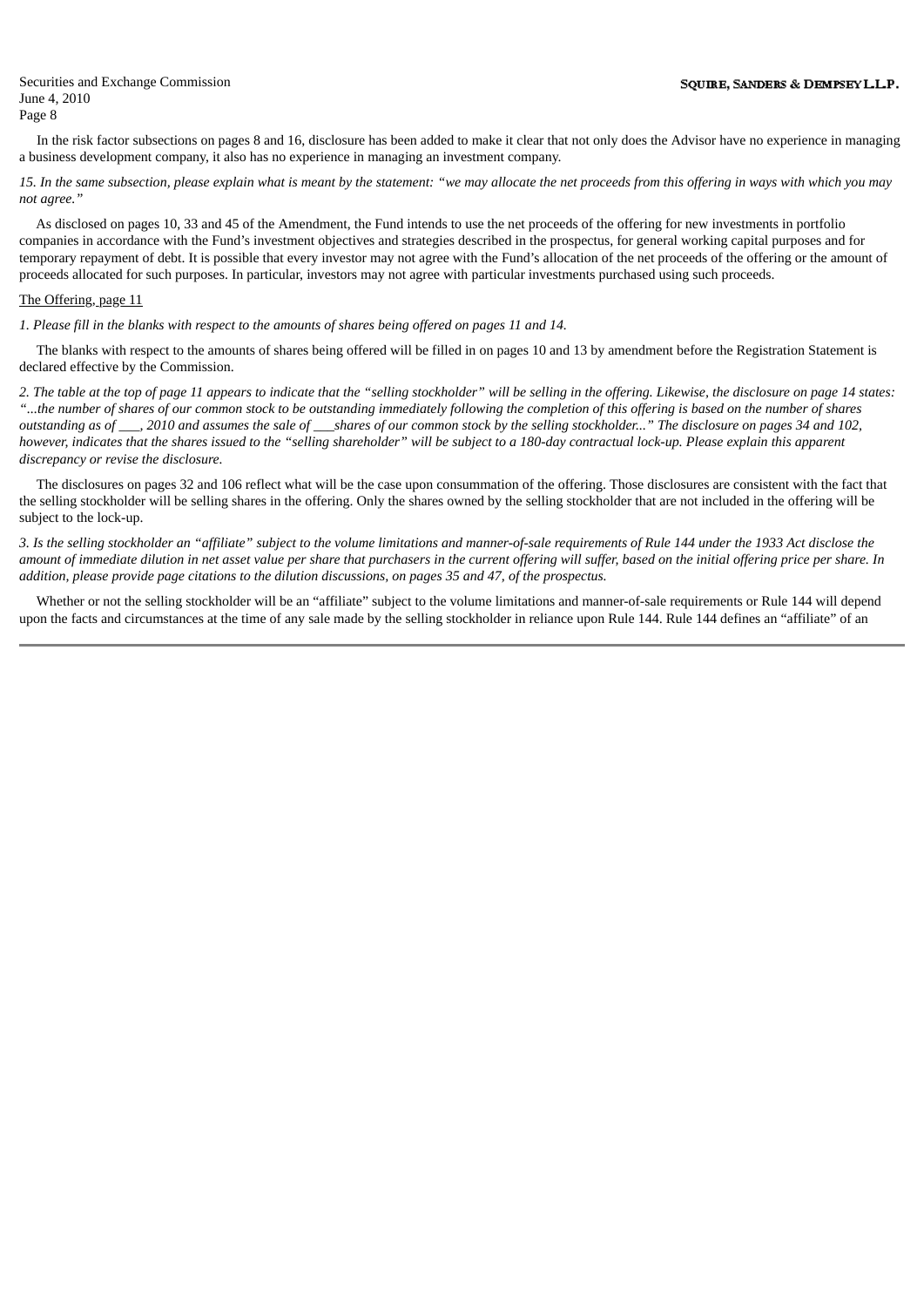In the risk factor subsections on pages 8 and 16, disclosure has been added to make it clear that not only does the Advisor have no experience in managing a business development company, it also has no experience in managing an investment company.

15. In the same subsection, please explain what is meant by the statement: "we may allocate the net proceeds from this offering in ways with which you may *not agree."*

As disclosed on pages 10, 33 and 45 of the Amendment, the Fund intends to use the net proceeds of the offering for new investments in portfolio companies in accordance with the Fund's investment objectives and strategies described in the prospectus, for general working capital purposes and for temporary repayment of debt. It is possible that every investor may not agree with the Fund's allocation of the net proceeds of the offering or the amount of proceeds allocated for such purposes. In particular, investors may not agree with particular investments purchased using such proceeds.

## The Offering, page 11

1. Please fill in the blanks with respect to the amounts of shares being offered on pages 11 and 14.

The blanks with respect to the amounts of shares being offered will be filled in on pages 10 and 13 by amendment before the Registration Statement is declared effective by the Commission.

2. The table at the top of page 11 appears to indicate that the "selling stockholder" will be selling in the offering. Likewise, the disclosure on page 14 states: "...the number of shares of our common stock to be outstanding immediately following the completion of this offering is based on the number of shares outstanding as of \_\_\_, 2010 and assumes the sale of \_\_\_shares of our common stock by the selling stockholder..." The disclosure on pages 34 and 102, however, indicates that the shares issued to the "selling shareholder" will be subject to a 180-day contractual lock-up. Please explain this apparent *discrepancy or revise the disclosure.*

The disclosures on pages 32 and 106 reflect what will be the case upon consummation of the offering. Those disclosures are consistent with the fact that the selling stockholder will be selling shares in the offering. Only the shares owned by the selling stockholder that are not included in the offering will be subject to the lock-up.

3. Is the selling stockholder an "affiliate" subject to the volume limitations and manner-of-sale requirements of Rule 144 under the 1933 Act disclose the amount of immediate dilution in net asset value per share that purchasers in the current offering will suffer, based on the initial offering price per share. In addition, please provide page citations to the dilution discussions, on pages 35 and 47, of the prospectus,

Whether or not the selling stockholder will be an "affiliate" subject to the volume limitations and manner-of-sale requirements or Rule 144 will depend upon the facts and circumstances at the time of any sale made by the selling stockholder in reliance upon Rule 144. Rule 144 defines an "affiliate" of an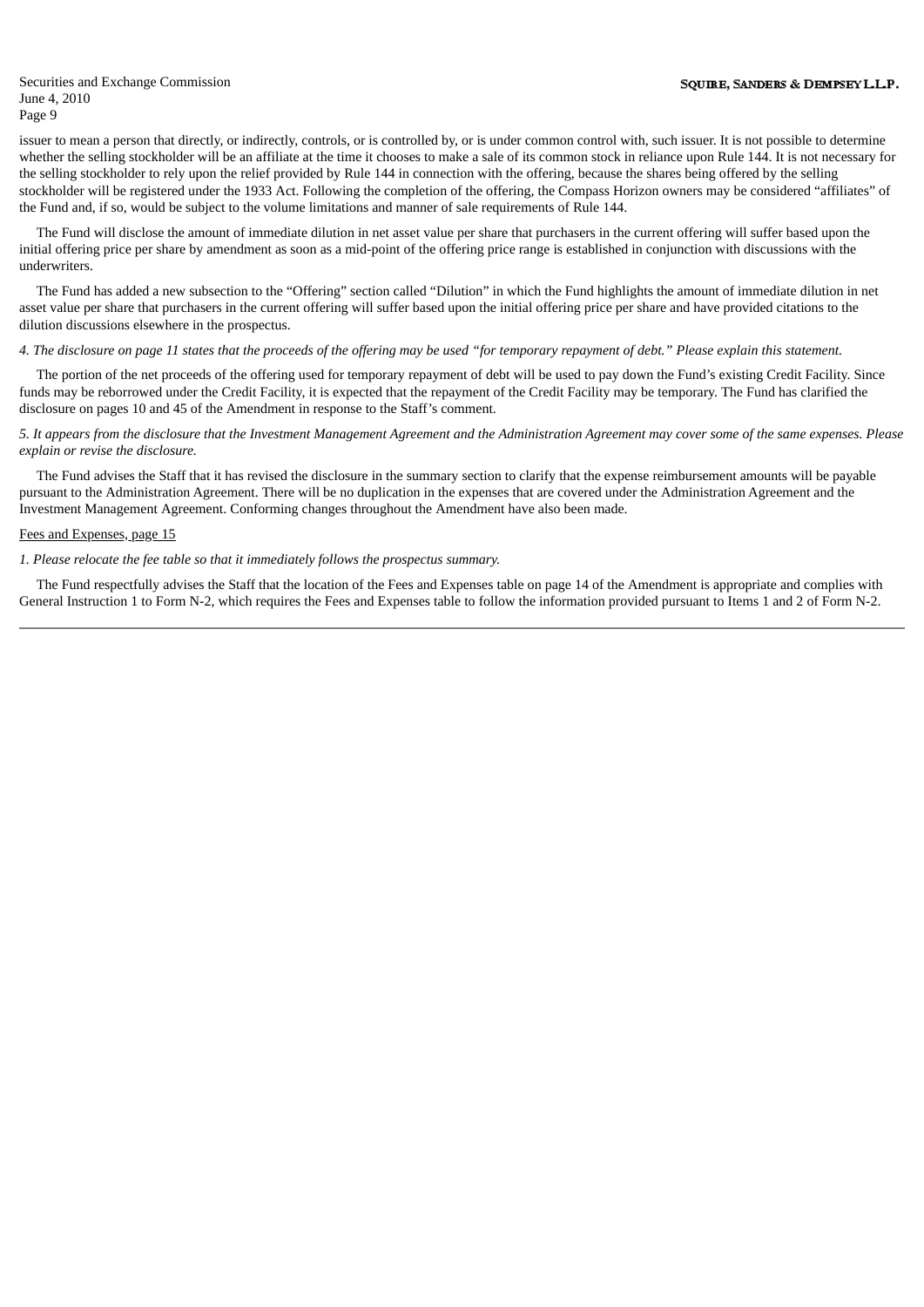issuer to mean a person that directly, or indirectly, controls, or is controlled by, or is under common control with, such issuer. It is not possible to determine whether the selling stockholder will be an affiliate at the time it chooses to make a sale of its common stock in reliance upon Rule 144. It is not necessary for the selling stockholder to rely upon the relief provided by Rule 144 in connection with the offering, because the shares being offered by the selling stockholder will be registered under the 1933 Act. Following the completion of the offering, the Compass Horizon owners may be considered "affiliates" of the Fund and, if so, would be subject to the volume limitations and manner of sale requirements of Rule 144.

The Fund will disclose the amount of immediate dilution in net asset value per share that purchasers in the current offering will suffer based upon the initial offering price per share by amendment as soon as a mid-point of the offering price range is established in conjunction with discussions with the underwriters.

The Fund has added a new subsection to the "Offering" section called "Dilution" in which the Fund highlights the amount of immediate dilution in net asset value per share that purchasers in the current offering will suffer based upon the initial offering price per share and have provided citations to the dilution discussions elsewhere in the prospectus.

## 4. The disclosure on page 11 states that the proceeds of the offering may be used "for temporary repayment of debt." Please explain this statement.

The portion of the net proceeds of the offering used for temporary repayment of debt will be used to pay down the Fund's existing Credit Facility. Since funds may be reborrowed under the Credit Facility, it is expected that the repayment of the Credit Facility may be temporary. The Fund has clarified the disclosure on pages 10 and 45 of the Amendment in response to the Staff's comment.

5. It appears from the disclosure that the Investment Management Agreement and the Administration Agreement may cover some of the same expenses. Please *explain or revise the disclosure.*

The Fund advises the Staff that it has revised the disclosure in the summary section to clarify that the expense reimbursement amounts will be payable pursuant to the Administration Agreement. There will be no duplication in the expenses that are covered under the Administration Agreement and the Investment Management Agreement. Conforming changes throughout the Amendment have also been made.

## Fees and Expenses, page 15

#### *1. Please relocate the fee table so that it immediately follows the prospectus summary.*

The Fund respectfully advises the Staff that the location of the Fees and Expenses table on page 14 of the Amendment is appropriate and complies with General Instruction 1 to Form N-2, which requires the Fees and Expenses table to follow the information provided pursuant to Items 1 and 2 of Form N-2.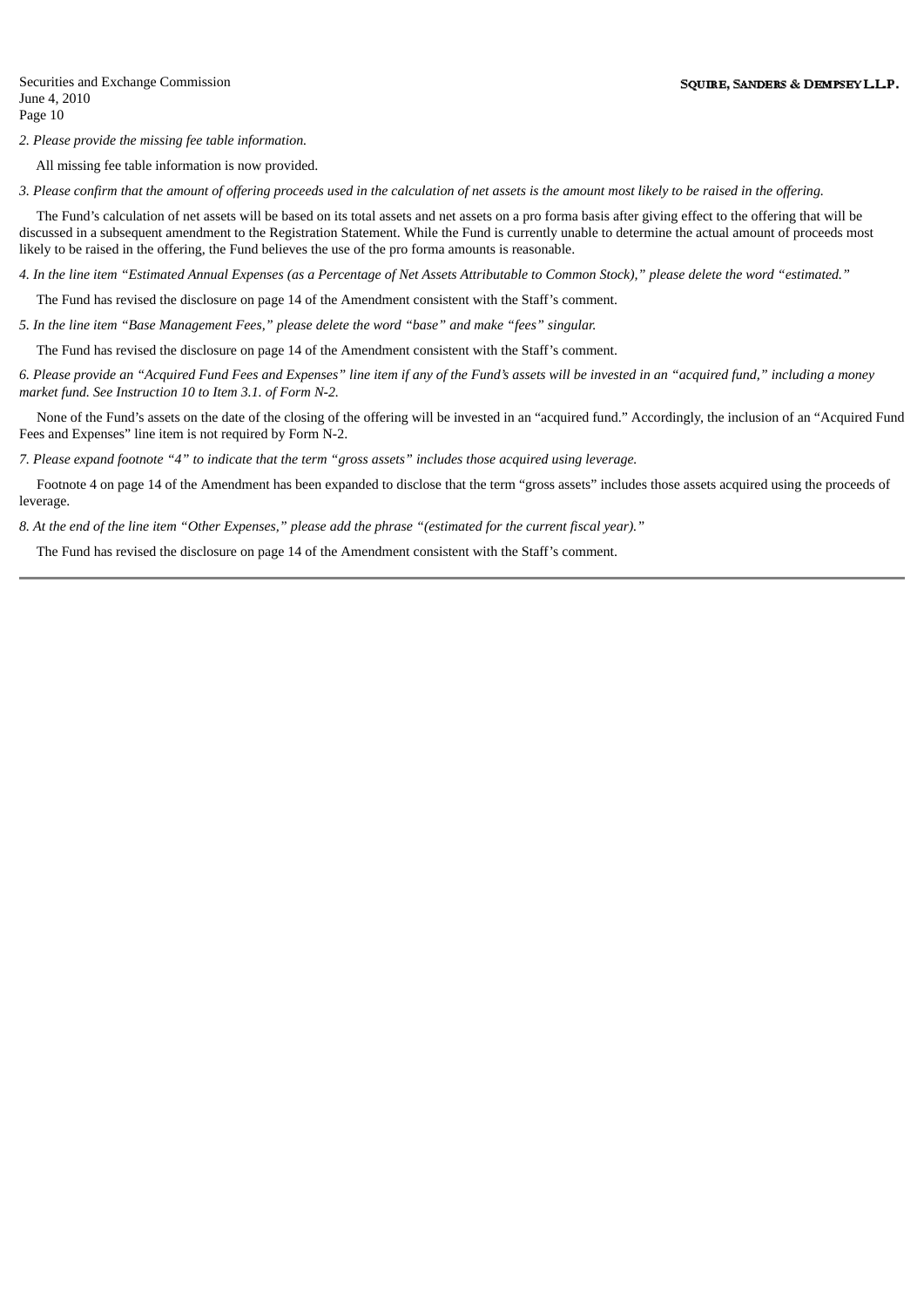*2. Please provide the missing fee table information.*

All missing fee table information is now provided.

3. Please confirm that the amount of offering proceeds used in the calculation of net assets is the amount most likely to be raised in the offering.

The Fund's calculation of net assets will be based on its total assets and net assets on a pro forma basis after giving effect to the offering that will be discussed in a subsequent amendment to the Registration Statement. While the Fund is currently unable to determine the actual amount of proceeds most likely to be raised in the offering, the Fund believes the use of the pro forma amounts is reasonable.

4. In the line item "Estimated Annual Expenses (as a Percentage of Net Assets Attributable to Common Stock)," please delete the word "estimated."

The Fund has revised the disclosure on page 14 of the Amendment consistent with the Staff's comment.

*5. In the line item "Base Management Fees," please delete the word "base" and make "fees" singular.*

The Fund has revised the disclosure on page 14 of the Amendment consistent with the Staff's comment.

6. Please provide an "Acauired Fund Fees and Expenses" line item if any of the Fund's assets will be invested in an "acauired fund." includina a money *market fund. See Instruction 10 to Item 3.1. of Form N-2.*

None of the Fund's assets on the date of the closing of the offering will be invested in an "acquired fund." Accordingly, the inclusion of an "Acquired Fund Fees and Expenses" line item is not required by Form N-2.

7. Please expand footnote "4" to indicate that the term "gross assets" includes those acquired using leverage.

Footnote 4 on page 14 of the Amendment has been expanded to disclose that the term "gross assets" includes those assets acquired using the proceeds of leverage.

8. At the end of the line item "Other Expenses," please add the phrase "(estimated for the current fiscal year)."

The Fund has revised the disclosure on page 14 of the Amendment consistent with the Staff's comment.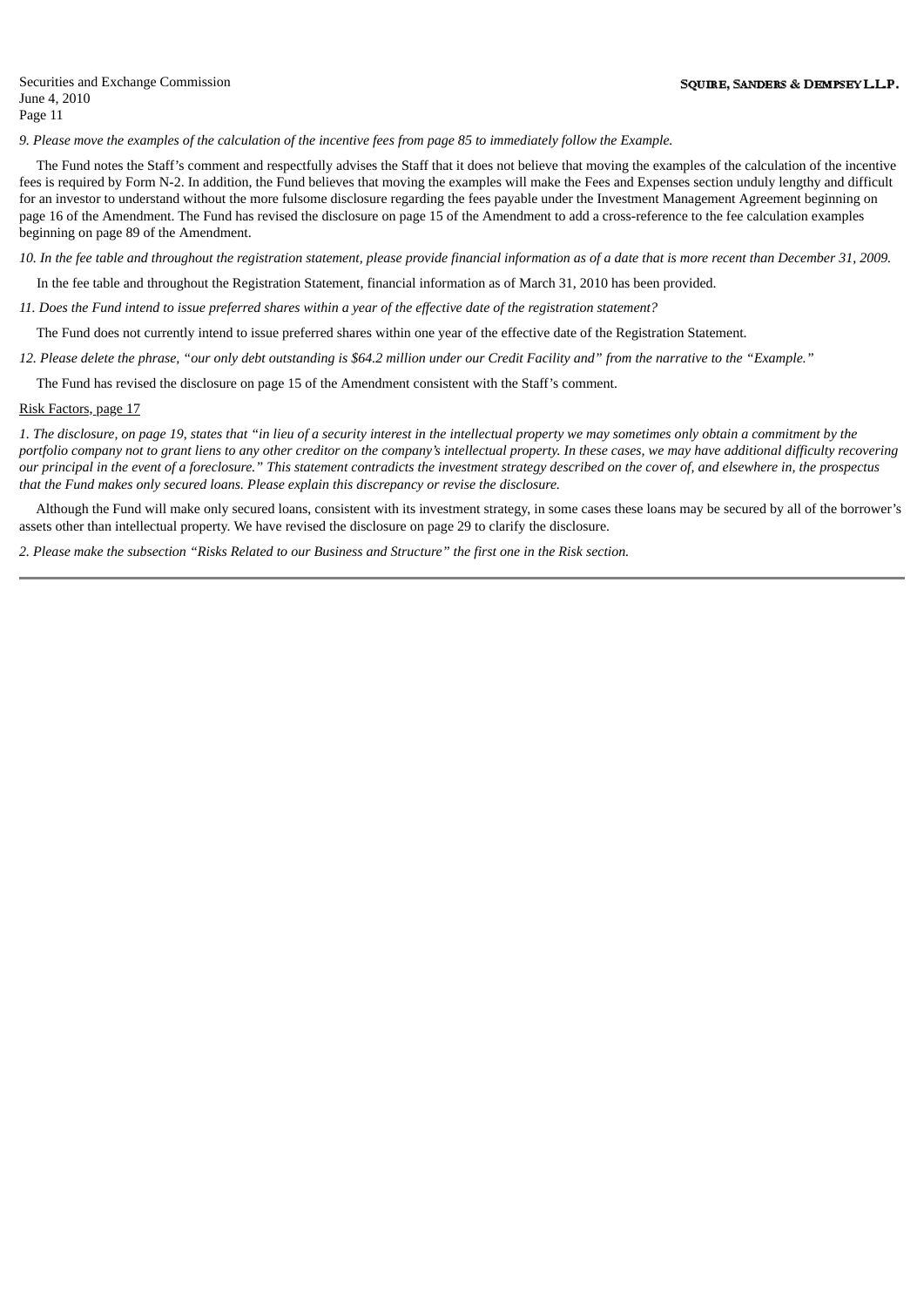9. Please move the examples of the calculation of the incentive fees from page 85 to immediately follow the Example.

The Fund notes the Staff's comment and respectfully advises the Staff that it does not believe that moving the examples of the calculation of the incentive fees is required by Form N-2. In addition, the Fund believes that moving the examples will make the Fees and Expenses section unduly lengthy and difficult for an investor to understand without the more fulsome disclosure regarding the fees payable under the Investment Management Agreement beginning on page 16 of the Amendment. The Fund has revised the disclosure on page 15 of the Amendment to add a cross-reference to the fee calculation examples beginning on page 89 of the Amendment.

10. In the fee table and throughout the registration statement, please provide financial information as of a date that is more recent than December 31, 2009.

In the fee table and throughout the Registration Statement, financial information as of March 31, 2010 has been provided.

11. Does the Fund intend to issue preferred shares within a year of the effective date of the registration statement?

The Fund does not currently intend to issue preferred shares within one year of the effective date of the Registration Statement.

12. Please delete the phrase, "our only debt outstanding is \$64.2 million under our Credit Facility and" from the narrative to the "Example."

The Fund has revised the disclosure on page 15 of the Amendment consistent with the Staff's comment.

## Risk Factors, page 17

1. The disclosure, on page 19, states that "in lieu of a security interest in the intellectual property we may sometimes only obtain a commitment by the portfolio company not to grant liens to any other creditor on the company's intellectual property. In these cases, we may have additional difficulty recovering our principal in the event of a foreclosure." This statement contradicts the investment strategy described on the cover of, and elsewhere in, the prospectus *that the Fund makes only secured loans. Please explain this discrepancy or revise the disclosure.*

Although the Fund will make only secured loans, consistent with its investment strategy, in some cases these loans may be secured by all of the borrower's assets other than intellectual property. We have revised the disclosure on page 29 to clarify the disclosure.

2. Please make the subsection "Risks Related to our Business and Structure" the first one in the Risk section.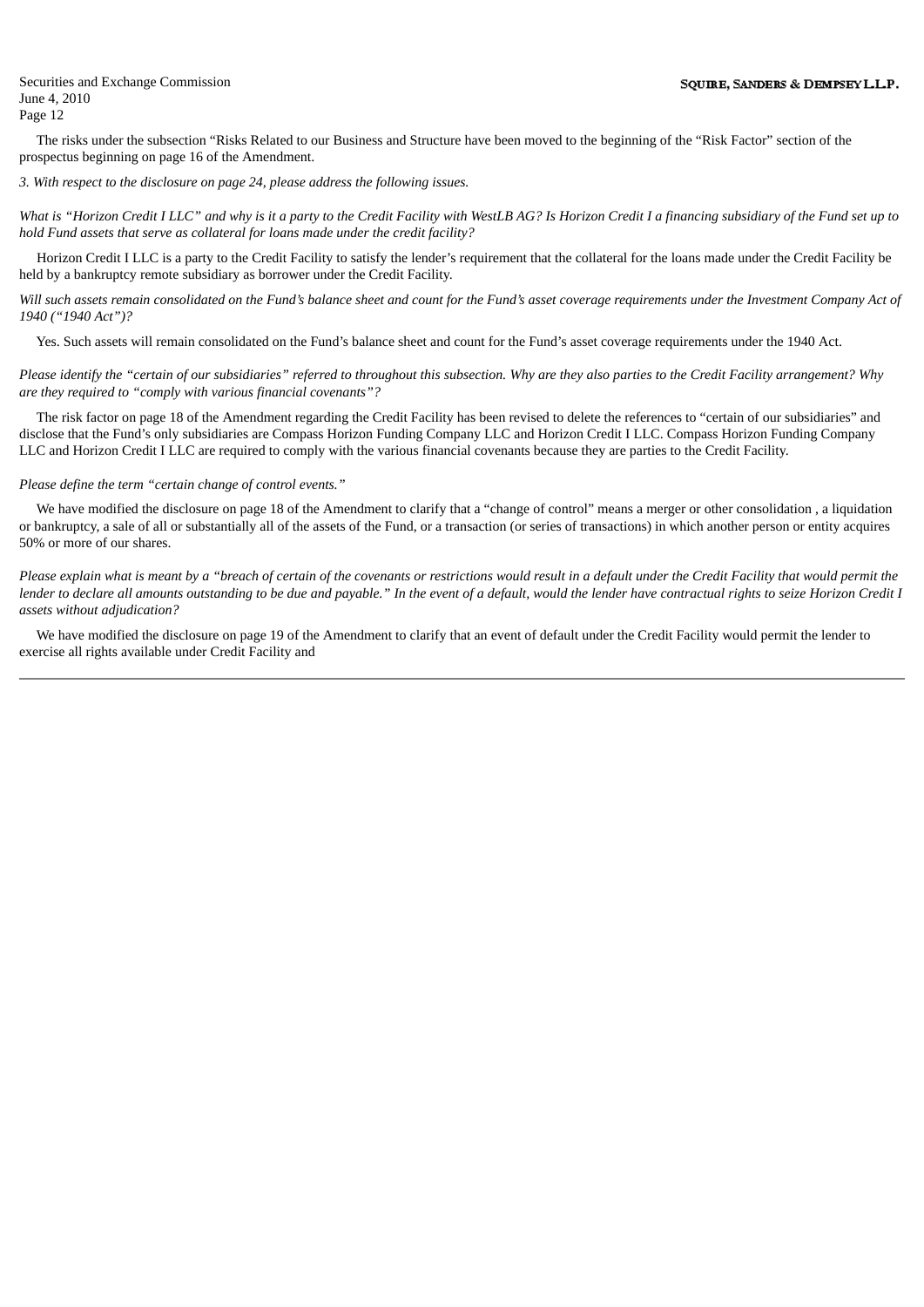The risks under the subsection "Risks Related to our Business and Structure have been moved to the beginning of the "Risk Factor" section of the prospectus beginning on page 16 of the Amendment.

## *3. With respect to the disclosure on page 24, please address the following issues.*

What is "Horizon Credit I LLC" and why is it a party to the Credit Facility with WestLB AG? Is Horizon Credit I a financing subsidiary of the Fund set up to *hold Fund assets that serve as collateral for loans made under the credit facility?*

Horizon Credit I LLC is a party to the Credit Facility to satisfy the lender's requirement that the collateral for the loans made under the Credit Facility be held by a bankruptcy remote subsidiary as borrower under the Credit Facility.

Will such assets remain consolidated on the Fund's balance sheet and count for the Fund's asset coverage requirements under the Investment Company Act of *1940 ("1940 Act")?*

Yes. Such assets will remain consolidated on the Fund's balance sheet and count for the Fund's asset coverage requirements under the 1940 Act.

Please identify the "certain of our subsidiaries" referred to throughout this subsection. Why are they also parties to the Credit Facility arrangement? Why *are they required to "comply with various financial covenants"?*

The risk factor on page 18 of the Amendment regarding the Credit Facility has been revised to delete the references to "certain of our subsidiaries" and disclose that the Fund's only subsidiaries are Compass Horizon Funding Company LLC and Horizon Credit I LLC. Compass Horizon Funding Company LLC and Horizon Credit I LLC are required to comply with the various financial covenants because they are parties to the Credit Facility.

## *Please define the term "certain change of control events."*

We have modified the disclosure on page 18 of the Amendment to clarify that a "change of control" means a merger or other consolidation , a liquidation or bankruptcy, a sale of all or substantially all of the assets of the Fund, or a transaction (or series of transactions) in which another person or entity acquires 50% or more of our shares.

Please explain what is meant by a "breach of certain of the covenants or restrictions would result in a default under the Credit Facility that would permit the lender to declare all amounts outstanding to be due and payable." In the event of a default, would the lender have contractual rights to seize Horizon Credit I *assets without adjudication?*

We have modified the disclosure on page 19 of the Amendment to clarify that an event of default under the Credit Facility would permit the lender to exercise all rights available under Credit Facility and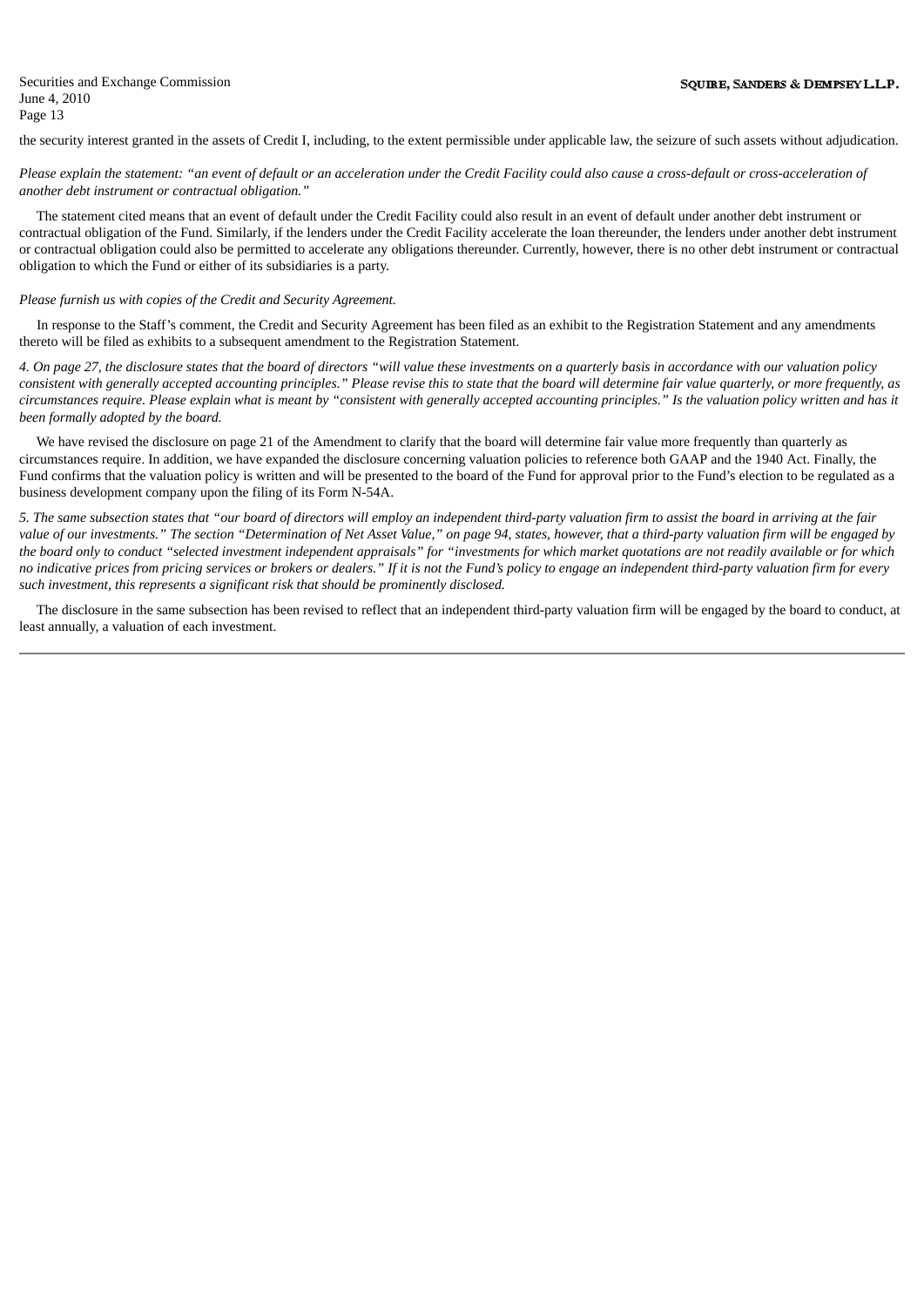the security interest granted in the assets of Credit I, including, to the extent permissible under applicable law, the seizure of such assets without adjudication.

Please explain the statement: "an event of default or an acceleration under the Credit Facility could also cause a cross-default or cross-acceleration of *another debt instrument or contractual obligation."*

The statement cited means that an event of default under the Credit Facility could also result in an event of default under another debt instrument or contractual obligation of the Fund. Similarly, if the lenders under the Credit Facility accelerate the loan thereunder, the lenders under another debt instrument or contractual obligation could also be permitted to accelerate any obligations thereunder. Currently, however, there is no other debt instrument or contractual obligation to which the Fund or either of its subsidiaries is a party.

## *Please furnish us with copies of the Credit and Security Agreement.*

In response to the Staff's comment, the Credit and Security Agreement has been filed as an exhibit to the Registration Statement and any amendments thereto will be filed as exhibits to a subsequent amendment to the Registration Statement.

4. On page 27, the disclosure states that the board of directors "will value these investments on a quarterly basis in accordance with our valuation policy consistent with generally accepted accounting principles." Please revise this to state that the board will determine fair value quarterly, or more frequently, as circumstances require. Please explain what is meant by "consistent with generally accepted accounting principles." Is the valuation policy written and has it *been formally adopted by the board.*

We have revised the disclosure on page 21 of the Amendment to clarify that the board will determine fair value more frequently than quarterly as circumstances require. In addition, we have expanded the disclosure concerning valuation policies to reference both GAAP and the 1940 Act. Finally, the Fund confirms that the valuation policy is written and will be presented to the board of the Fund for approval prior to the Fund's election to be regulated as a business development company upon the filing of its Form N-54A.

5. The same subsection states that "our board of directors will employ an independent third-party valuation firm to assist the board in arriving at the fair value of our investments." The section "Determination of Net Asset Value," on page 94, states, however, that a third-party valuation firm will be engaged by the board only to conduct "selected investment independent appraisals" for "investments for which market quotations are not readily available or for which no indicative prices from pricing services or brokers or dealers." If it is not the Fund's policy to engage an independent third-party valuation firm for every *such investment, this represents a significant risk that should be prominently disclosed.*

The disclosure in the same subsection has been revised to reflect that an independent third-party valuation firm will be engaged by the board to conduct, at least annually, a valuation of each investment.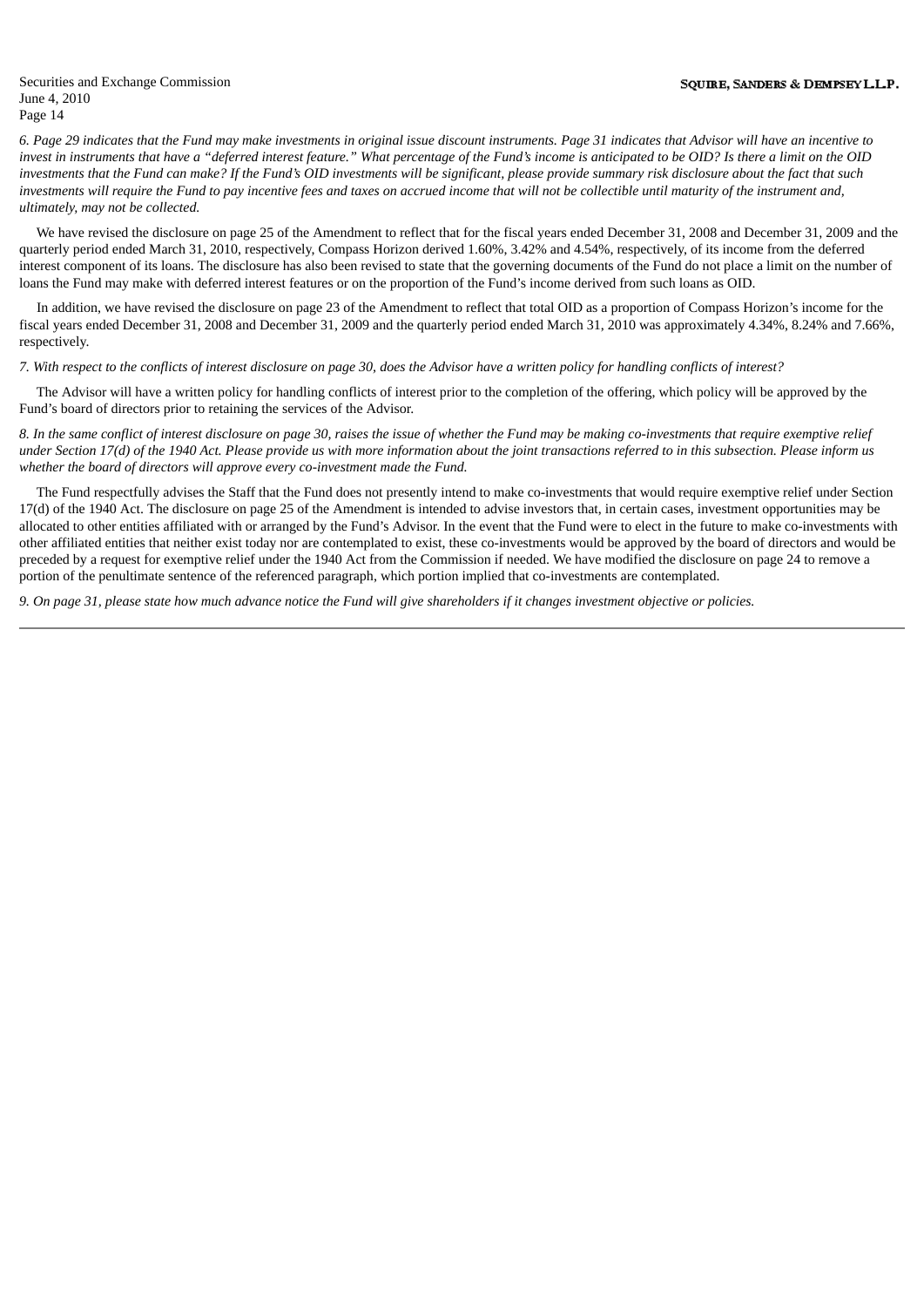6. Page 29 indicates that the Fund may make investments in original issue discount instruments. Page 31 indicates that Advisor will have an incentive to invest in instruments that have a "deferred interest feature." What percentage of the Fund's income is anticipated to be OID? Is there a limit on the OID investments that the Fund can make? If the Fund's OID investments will be significant, please provide summary risk disclosure about the fact that such investments will require the Fund to pay incentive fees and taxes on accrued income that will not be collectible until maturity of the instrument and, *ultimately, may not be collected.*

We have revised the disclosure on page 25 of the Amendment to reflect that for the fiscal years ended December 31, 2008 and December 31, 2009 and the quarterly period ended March 31, 2010, respectively, Compass Horizon derived 1.60%, 3.42% and 4.54%, respectively, of its income from the deferred interest component of its loans. The disclosure has also been revised to state that the governing documents of the Fund do not place a limit on the number of loans the Fund may make with deferred interest features or on the proportion of the Fund's income derived from such loans as OID.

In addition, we have revised the disclosure on page 23 of the Amendment to reflect that total OID as a proportion of Compass Horizon's income for the fiscal years ended December 31, 2008 and December 31, 2009 and the quarterly period ended March 31, 2010 was approximately 4.34%, 8.24% and 7.66%, respectively.

7. With respect to the conflicts of interest disclosure on page 30, does the Advisor have a written policy for handling conflicts of interest?

The Advisor will have a written policy for handling conflicts of interest prior to the completion of the offering, which policy will be approved by the Fund's board of directors prior to retaining the services of the Advisor.

8. In the same conflict of interest disclosure on page 30, raises the issue of whether the Fund may be making co-investments that require exemptive relief under Section 17(d) of the 1940 Act. Please provide us with more information about the joint transactions referred to in this subsection. Please inform us *whether the board of directors will approve every co-investment made the Fund.*

The Fund respectfully advises the Staff that the Fund does not presently intend to make co-investments that would require exemptive relief under Section 17(d) of the 1940 Act. The disclosure on page 25 of the Amendment is intended to advise investors that, in certain cases, investment opportunities may be allocated to other entities affiliated with or arranged by the Fund's Advisor. In the event that the Fund were to elect in the future to make co-investments with other affiliated entities that neither exist today nor are contemplated to exist, these co-investments would be approved by the board of directors and would be preceded by a request for exemptive relief under the 1940 Act from the Commission if needed. We have modified the disclosure on page 24 to remove a portion of the penultimate sentence of the referenced paragraph, which portion implied that co-investments are contemplated.

9. On page 31, please state how much advance notice the Fund will give shareholders if it changes investment objective or policies.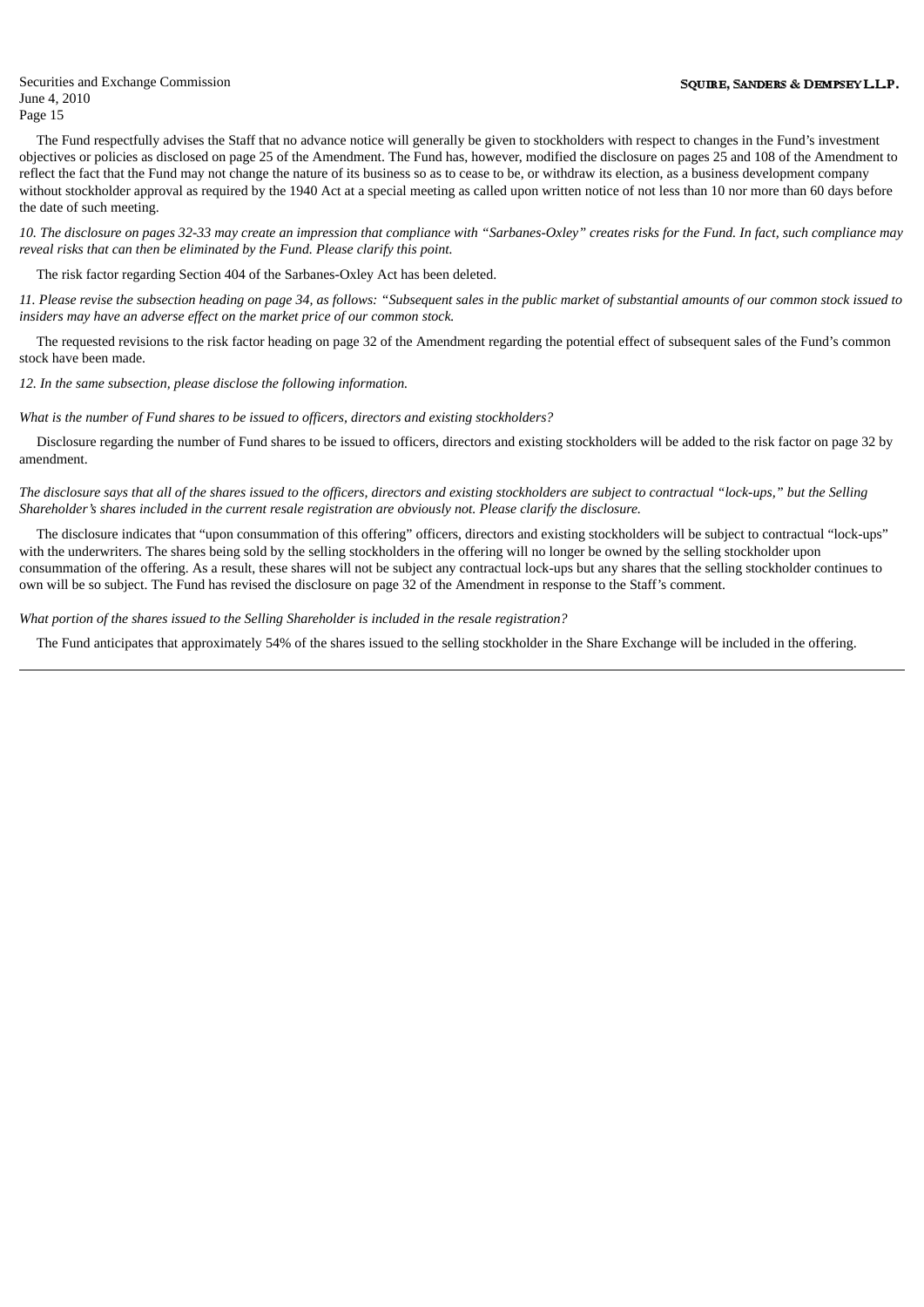The Fund respectfully advises the Staff that no advance notice will generally be given to stockholders with respect to changes in the Fund's investment objectives or policies as disclosed on page 25 of the Amendment. The Fund has, however, modified the disclosure on pages 25 and 108 of the Amendment to reflect the fact that the Fund may not change the nature of its business so as to cease to be, or withdraw its election, as a business development company without stockholder approval as required by the 1940 Act at a special meeting as called upon written notice of not less than 10 nor more than 60 days before the date of such meeting.

10. The disclosure on pages 32-33 may create an impression that compliance with "Sarbanes-Oxley" creates risks for the Fund. In fact, such compliance may *reveal risks that can then be eliminated by the Fund. Please clarify this point.*

The risk factor regarding Section 404 of the Sarbanes-Oxley Act has been deleted.

11. Please revise the subsection heading on page 34, as follows: "Subsequent sales in the public market of substantial amounts of our common stock issued to *insiders may have an adverse effect on the market price of our common stock.*

The requested revisions to the risk factor heading on page 32 of the Amendment regarding the potential effect of subsequent sales of the Fund's common stock have been made.

*12. In the same subsection, please disclose the following information.*

*What is the number of Fund shares to be issued to officers, directors and existing stockholders?*

Disclosure regarding the number of Fund shares to be issued to officers, directors and existing stockholders will be added to the risk factor on page 32 by amendment.

The disclosure says that all of the shares issued to the officers, directors and existina stockholders are subject to contractual "lock-ups," but the Sellina *Shareholder's shares included in the current resale registration are obviously not. Please clarify the disclosure.*

The disclosure indicates that "upon consummation of this offering" officers, directors and existing stockholders will be subject to contractual "lock-ups" with the underwriters. The shares being sold by the selling stockholders in the offering will no longer be owned by the selling stockholder upon consummation of the offering. As a result, these shares will not be subject any contractual lock-ups but any shares that the selling stockholder continues to own will be so subject. The Fund has revised the disclosure on page 32 of the Amendment in response to the Staff's comment.

*What portion of the shares issued to the Selling Shareholder is included in the resale registration?*

The Fund anticipates that approximately 54% of the shares issued to the selling stockholder in the Share Exchange will be included in the offering.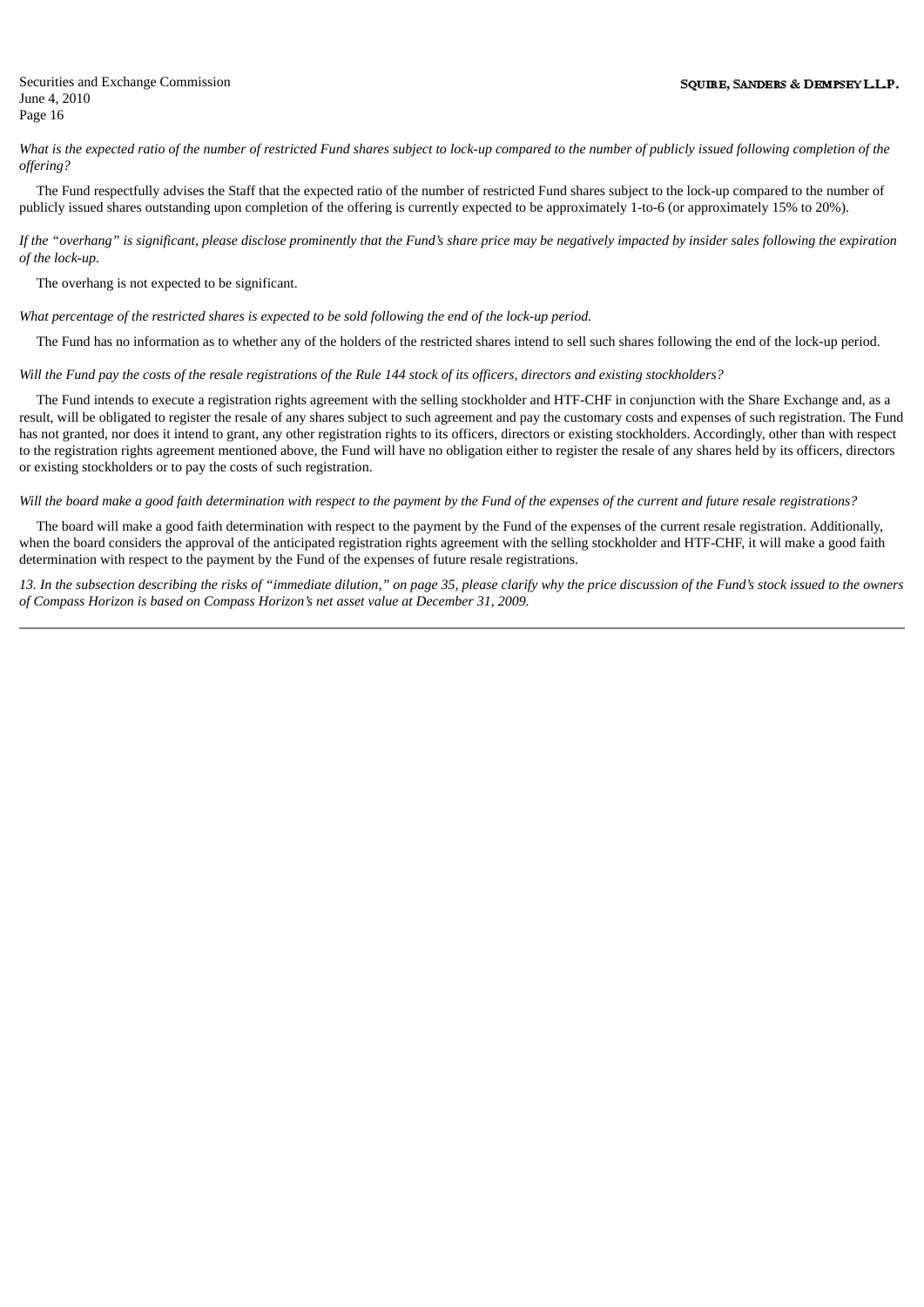What is the expected ratio of the number of restricted Fund shares subject to lock-up compared to the number of publicly issued following completion of the *offering?*

The Fund respectfully advises the Staff that the expected ratio of the number of restricted Fund shares subject to the lock-up compared to the number of publicly issued shares outstanding upon completion of the offering is currently expected to be approximately 1-to-6 (or approximately 15% to 20%).

If the "overhang" is significant, please disclose prominently that the Fund's share price may be negatively impacted by insider sales following the expiration *of the lock-up.*

The overhang is not expected to be significant.

What percentage of the restricted shares is expected to be sold following the end of the lock-up period.

The Fund has no information as to whether any of the holders of the restricted shares intend to sell such shares following the end of the lock-up period.

Will the Fund pay the costs of the resale registrations of the Rule 144 stock of its officers, directors and existing stockholders?

The Fund intends to execute a registration rights agreement with the selling stockholder and HTF-CHF in conjunction with the Share Exchange and, as a result, will be obligated to register the resale of any shares subject to such agreement and pay the customary costs and expenses of such registration. The Fund has not granted, nor does it intend to grant, any other registration rights to its officers, directors or existing stockholders. Accordingly, other than with respect to the registration rights agreement mentioned above, the Fund will have no obligation either to register the resale of any shares held by its officers, directors or existing stockholders or to pay the costs of such registration.

Will the board make a good faith determination with respect to the payment by the Fund of the expenses of the current and future resale registrations?

The board will make a good faith determination with respect to the payment by the Fund of the expenses of the current resale registration. Additionally, when the board considers the approval of the anticipated registration rights agreement with the selling stockholder and HTF-CHF, it will make a good faith determination with respect to the payment by the Fund of the expenses of future resale registrations.

13. In the subsection describing the risks of "immediate dilution," on page 35, please clarify why the price discussion of the Fund's stock issued to the owners *of Compass Horizon is based on Compass Horizon's net asset value at December 31, 2009.*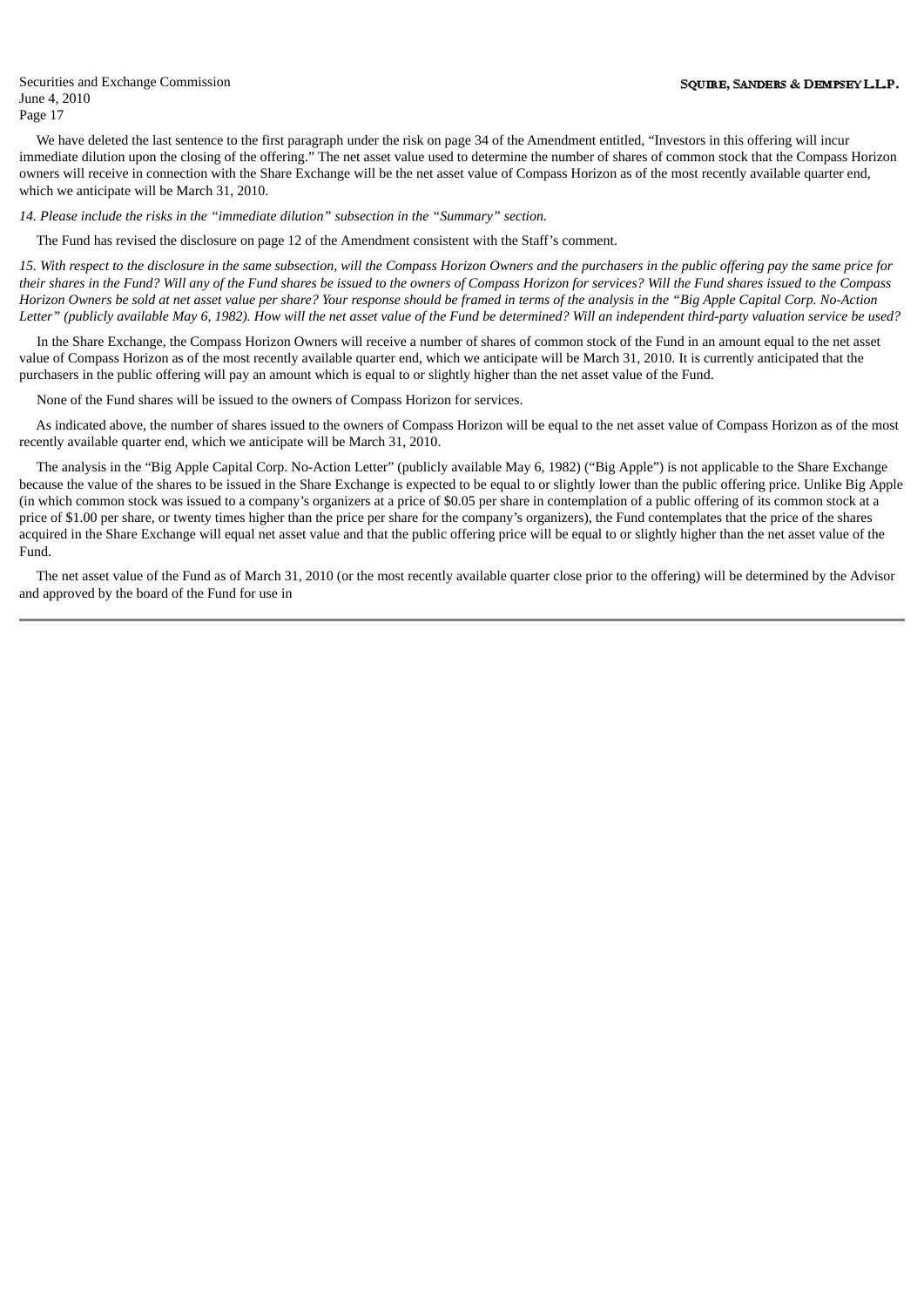We have deleted the last sentence to the first paragraph under the risk on page 34 of the Amendment entitled, "Investors in this offering will incur immediate dilution upon the closing of the offering." The net asset value used to determine the number of shares of common stock that the Compass Horizon owners will receive in connection with the Share Exchange will be the net asset value of Compass Horizon as of the most recently available quarter end, which we anticipate will be March 31, 2010.

*14. Please include the risks in the "immediate dilution" subsection in the "Summary" section.*

The Fund has revised the disclosure on page 12 of the Amendment consistent with the Staff's comment.

15. With respect to the disclosure in the same subsection, will the Compass Horizon Owners and the purchasers in the public offering pay the same price for their shares in the Fund? Will any of the Fund shares be issued to the owners of Compass Horizon for services? Will the Fund shares issued to the Compass Horizon Owners be sold at net asset value per share? Your response should be framed in terms of the analysis in the "Big Apple Capital Corp. No-Action Letter" (publicly available May 6, 1982). How will the net asset value of the Fund be determined? Will an independent third-party valuation service be used?

In the Share Exchange, the Compass Horizon Owners will receive a number of shares of common stock of the Fund in an amount equal to the net asset value of Compass Horizon as of the most recently available quarter end, which we anticipate will be March 31, 2010. It is currently anticipated that the purchasers in the public offering will pay an amount which is equal to or slightly higher than the net asset value of the Fund.

None of the Fund shares will be issued to the owners of Compass Horizon for services.

As indicated above, the number of shares issued to the owners of Compass Horizon will be equal to the net asset value of Compass Horizon as of the most recently available quarter end, which we anticipate will be March 31, 2010.

The analysis in the "Big Apple Capital Corp. No-Action Letter" (publicly available May 6, 1982) ("Big Apple") is not applicable to the Share Exchange because the value of the shares to be issued in the Share Exchange is expected to be equal to or slightly lower than the public offering price. Unlike Big Apple (in which common stock was issued to a company's organizers at a price of \$0.05 per share in contemplation of a public offering of its common stock at a price of \$1.00 per share, or twenty times higher than the price per share for the company's organizers), the Fund contemplates that the price of the shares acquired in the Share Exchange will equal net asset value and that the public offering price will be equal to or slightly higher than the net asset value of the Fund.

The net asset value of the Fund as of March 31, 2010 (or the most recently available quarter close prior to the offering) will be determined by the Advisor and approved by the board of the Fund for use in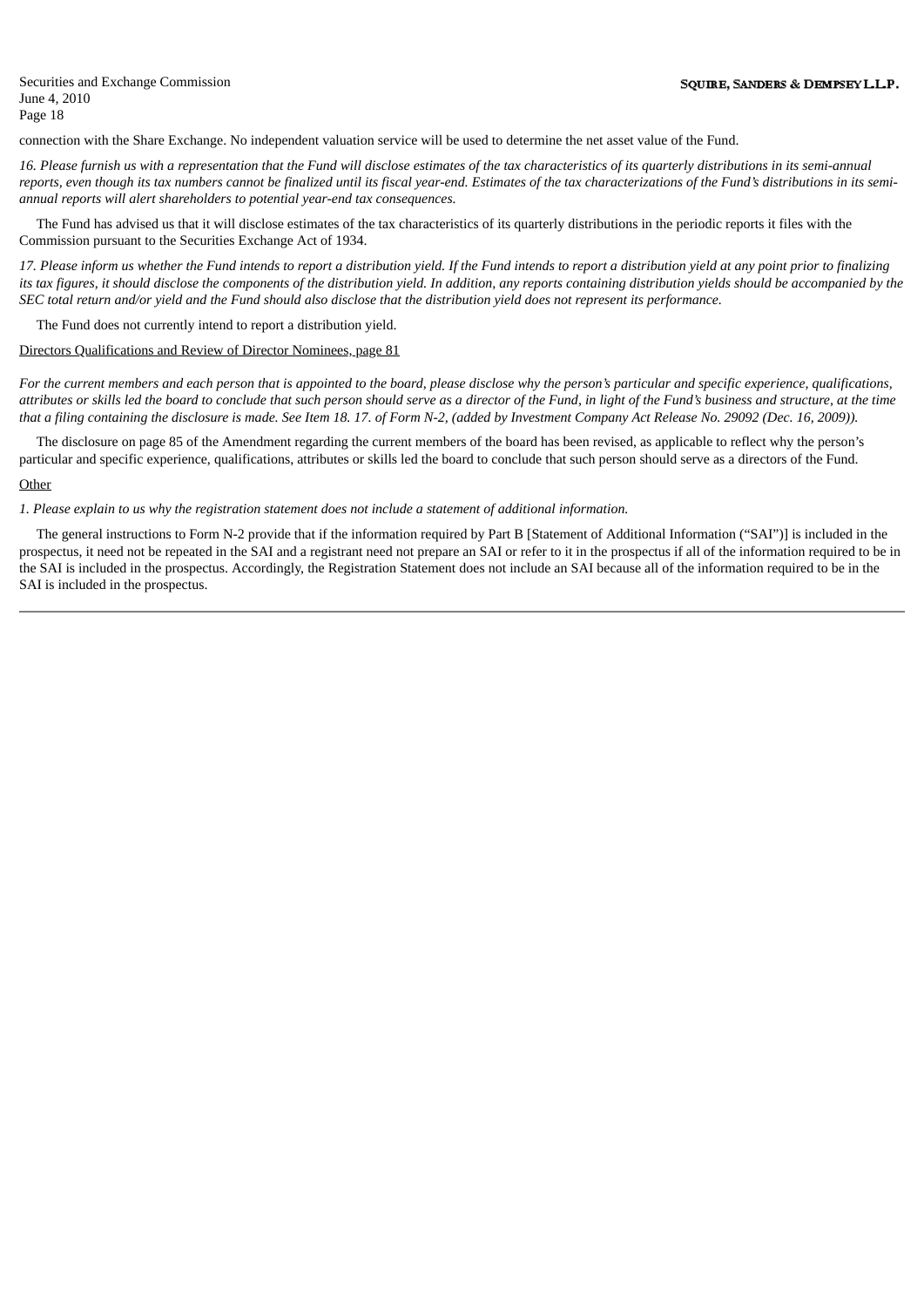connection with the Share Exchange. No independent valuation service will be used to determine the net asset value of the Fund.

16. Please furnish us with a representation that the Fund will disclose estimates of the tax characteristics of its quarterly distributions in its semi-annual reports, even though its tax numbers cannot be finalized until its fiscal year-end. Estimates of the tax characterizations of the Fund's distributions in its semi*annual reports will alert shareholders to potential year-end tax consequences.*

The Fund has advised us that it will disclose estimates of the tax characteristics of its quarterly distributions in the periodic reports it files with the Commission pursuant to the Securities Exchange Act of 1934.

17. Please inform us whether the Fund intends to report a distribution vield. If the Fund intends to report a distribution vield at any point prior to finalizing its tax figures, it should disclose the components of the distribution yield. In addition, any reports containing distribution yields should be accompanied by the SEC total return and/or yield and the Fund should also disclose that the distribution yield does not represent its performance.

The Fund does not currently intend to report a distribution yield.

# Directors Qualifications and Review of Director Nominees, page 81

For the current members and each person that is appointed to the board, please disclose why the person's particular and specific experience, qualifications, attributes or skills led the board to conclude that such person should serve as a director of the Fund, in light of the Fund's business and structure, at the time that a filing containing the disclosure is made. See Item 18.17. of Form N-2, (added by Investment Company Act Release No. 29092 (Dec. 16, 2009)).

The disclosure on page 85 of the Amendment regarding the current members of the board has been revised, as applicable to reflect why the person's particular and specific experience, qualifications, attributes or skills led the board to conclude that such person should serve as a directors of the Fund.

# **Other**

1. Please explain to us why the registration statement does not include a statement of additional information.

The general instructions to Form N-2 provide that if the information required by Part B [Statement of Additional Information ("SAI")] is included in the prospectus, it need not be repeated in the SAI and a registrant need not prepare an SAI or refer to it in the prospectus if all of the information required to be in the SAI is included in the prospectus. Accordingly, the Registration Statement does not include an SAI because all of the information required to be in the SAI is included in the prospectus.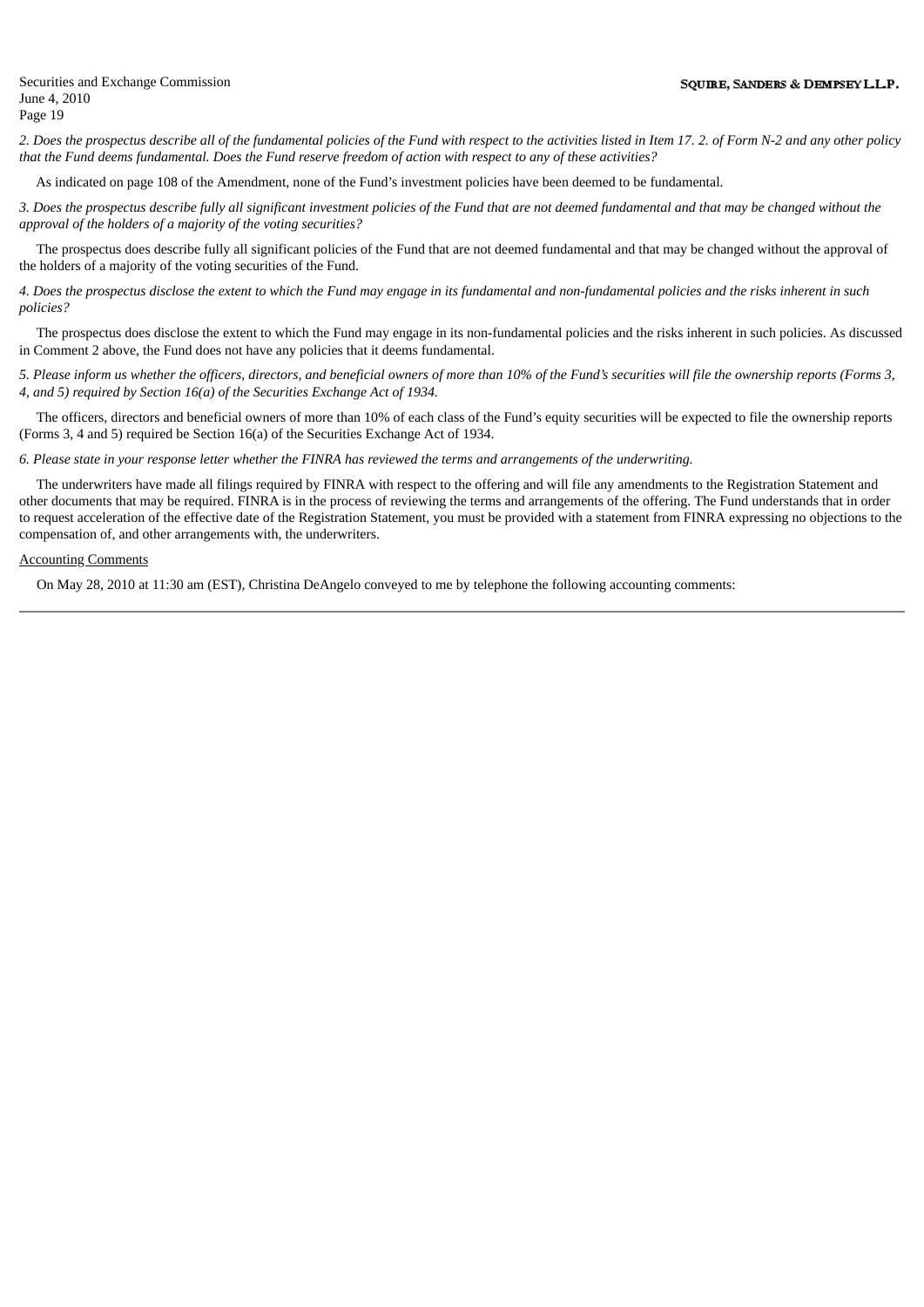2. Does the prospectus describe all of the fundamental policies of the Fund with respect to the activities listed in Item 17, 2, of Form N-2 and any other policy that the Fund deems fundamental. Does the Fund reserve freedom of action with respect to any of these activities?

As indicated on page 108 of the Amendment, none of the Fund's investment policies have been deemed to be fundamental.

3. Does the prospectus describe fully all significant investment policies of the Fund that are not deemed fundamental and that may be changed without the *approval of the holders of a majority of the voting securities?*

The prospectus does describe fully all significant policies of the Fund that are not deemed fundamental and that may be changed without the approval of the holders of a majority of the voting securities of the Fund.

4. Does the prospectus disclose the extent to which the Fund may engage in its fundamental and non-fundamental policies and the risks inherent in such *policies?*

The prospectus does disclose the extent to which the Fund may engage in its non-fundamental policies and the risks inherent in such policies. As discussed in Comment 2 above, the Fund does not have any policies that it deems fundamental.

5. Please inform us whether the officers, directors, and beneficial owners of more than 10% of the Fund's securities will file the ownership reports (Forms 3, *4, and 5) required by Section 16(a) of the Securities Exchange Act of 1934.*

The officers, directors and beneficial owners of more than 10% of each class of the Fund's equity securities will be expected to file the ownership reports (Forms 3, 4 and 5) required be Section 16(a) of the Securities Exchange Act of 1934.

6. Please state in your response letter whether the FINRA has reviewed the terms and arrangements of the underwriting.

The underwriters have made all filings required by FINRA with respect to the offering and will file any amendments to the Registration Statement and other documents that may be required. FINRA is in the process of reviewing the terms and arrangements of the offering. The Fund understands that in order to request acceleration of the effective date of the Registration Statement, you must be provided with a statement from FINRA expressing no objections to the compensation of, and other arrangements with, the underwriters.

### Accounting Comments

On May 28, 2010 at 11:30 am (EST), Christina DeAngelo conveyed to me by telephone the following accounting comments: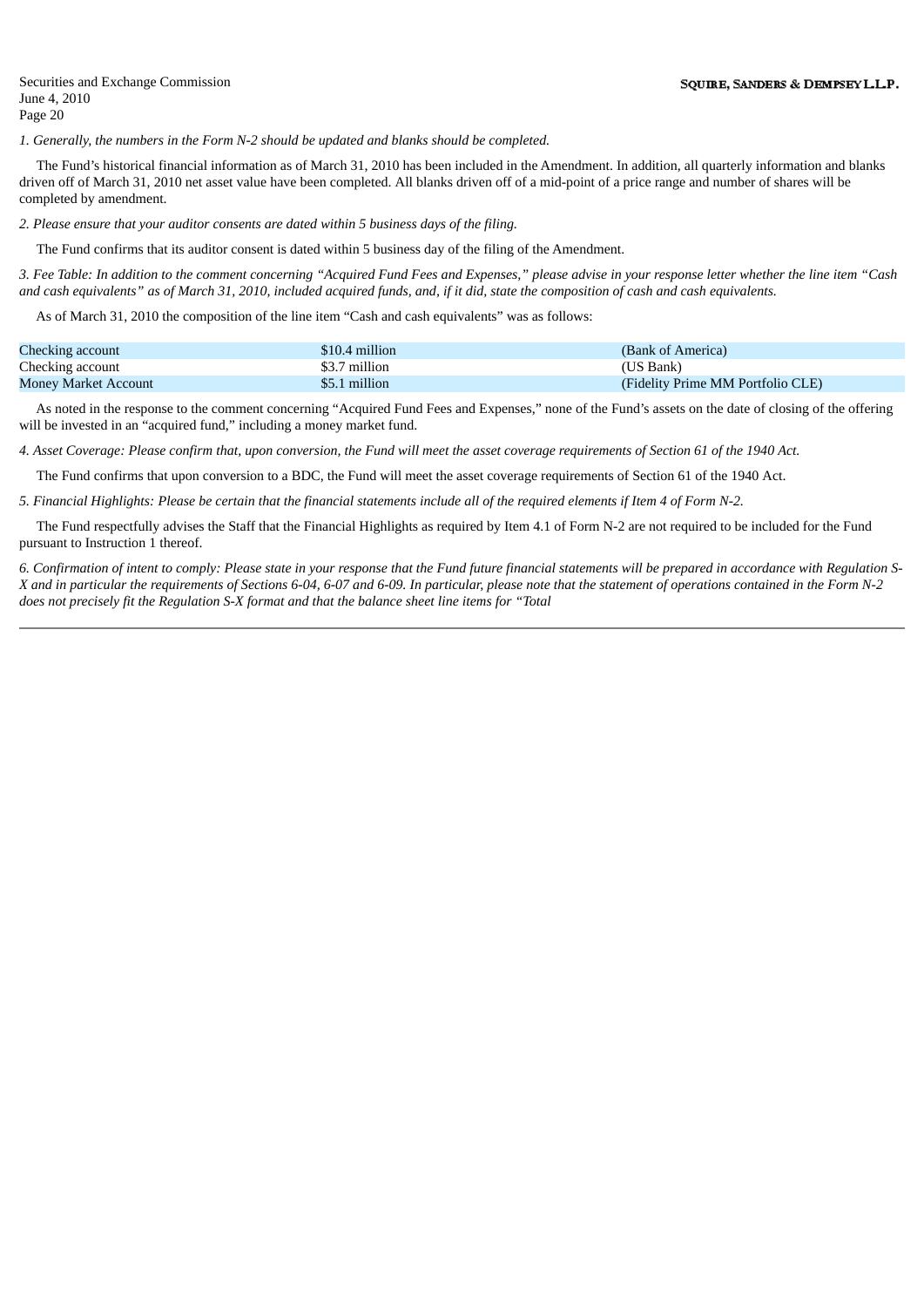*1. Generally, the numbers in the Form N-2 should be updated and blanks should be completed.*

The Fund's historical financial information as of March 31, 2010 has been included in the Amendment. In addition, all quarterly information and blanks driven off of March 31, 2010 net asset value have been completed. All blanks driven off of a mid-point of a price range and number of shares will be completed by amendment.

*2. Please ensure that your auditor consents are dated within 5 business days of the filing.*

The Fund confirms that its auditor consent is dated within 5 business day of the filing of the Amendment.

3. Fee Table: In addition to the comment concerning "Acquired Fund Fees and Expenses," please advise in your response letter whether the line item "Cash and cash equivalents" as of March 31, 2010, included acquired funds, and, if it did, state the composition of cash and cash equivalents.

As of March 31, 2010 the composition of the line item "Cash and cash equivalents" was as follows:

| Checking account            | \$10.4 million | (Bank of America)                 |
|-----------------------------|----------------|-----------------------------------|
| Checking account            | \$3.7 million  | (US Bank)                         |
| <b>Money Market Account</b> | \$5.1 million  | (Fidelity Prime MM Portfolio CLE) |

As noted in the response to the comment concerning "Acquired Fund Fees and Expenses," none of the Fund's assets on the date of closing of the offering will be invested in an "acquired fund," including a money market fund.

4. Asset Coverage: Please confirm that, upon conversion, the Fund will meet the asset coverage requirements of Section 61 of the 1940 Act.

The Fund confirms that upon conversion to a BDC, the Fund will meet the asset coverage requirements of Section 61 of the 1940 Act.

5. Financial Highlights: Please be certain that the financial statements include all of the required elements if Item 4 of Form N-2.

The Fund respectfully advises the Staff that the Financial Highlights as required by Item 4.1 of Form N-2 are not required to be included for the Fund pursuant to Instruction 1 thereof.

6. Confirmation of intent to comply: Please state in your response that the Fund future financial statements will be prepared in accordance with Regulation S-X and in particular the requirements of Sections 6-04, 6-07 and 6-09. In particular, please note that the statement of operations contained in the Form N-2 *does not precisely fit the Regulation S-X format and that the balance sheet line items for "Total*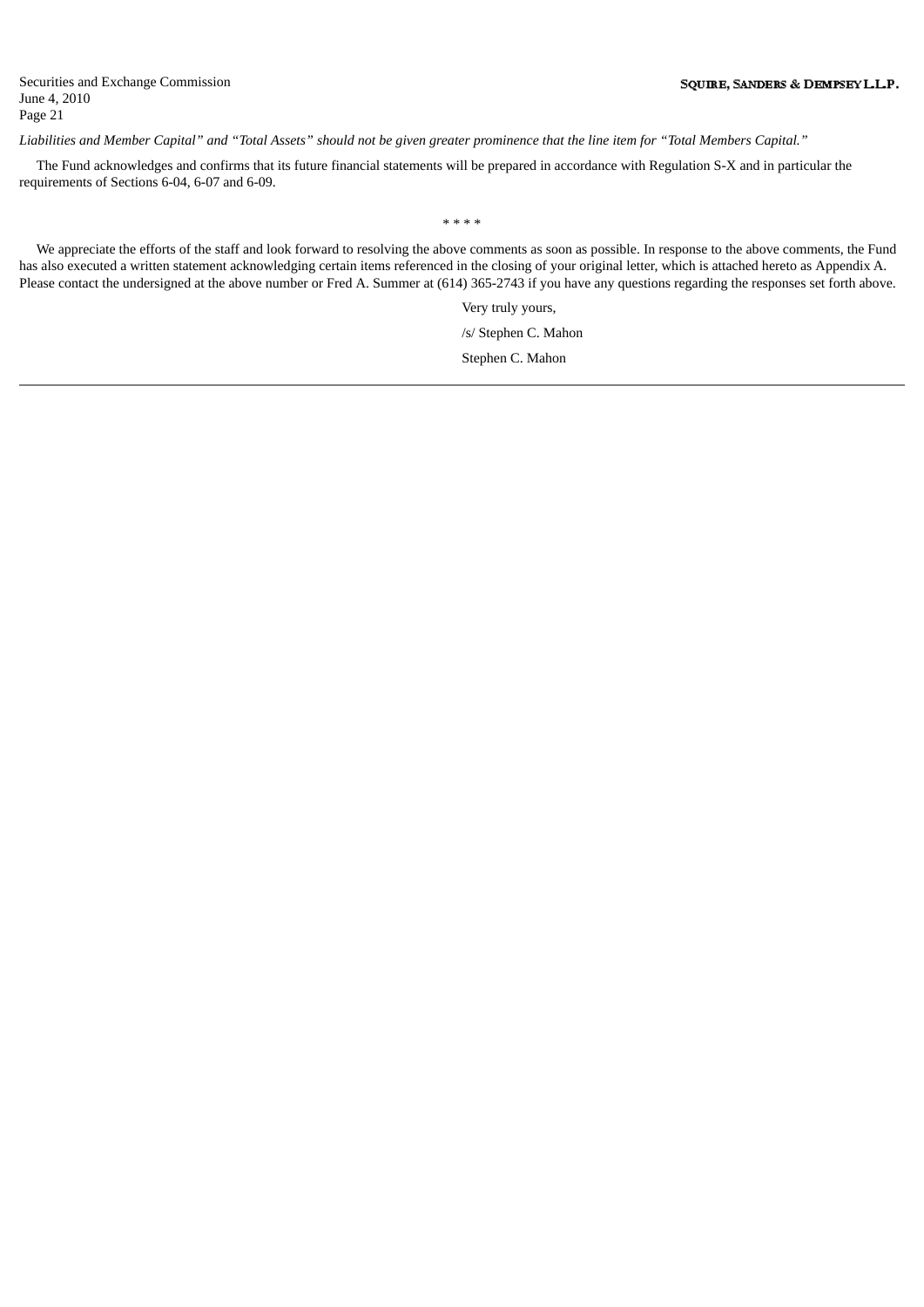Liabilities and Member Capital" and "Total Assets" should not be given greater prominence that the line item for "Total Members Capital."

The Fund acknowledges and confirms that its future financial statements will be prepared in accordance with Regulation S-X and in particular the requirements of Sections 6-04, 6-07 and 6-09.

\* \* \* \*

We appreciate the efforts of the staff and look forward to resolving the above comments as soon as possible. In response to the above comments, the Fund has also executed a written statement acknowledging certain items referenced in the closing of your original letter, which is attached hereto as Appendix A. Please contact the undersigned at the above number or Fred A. Summer at (614) 365-2743 if you have any questions regarding the responses set forth above.

> Very truly yours, /s/ Stephen C. Mahon Stephen C. Mahon